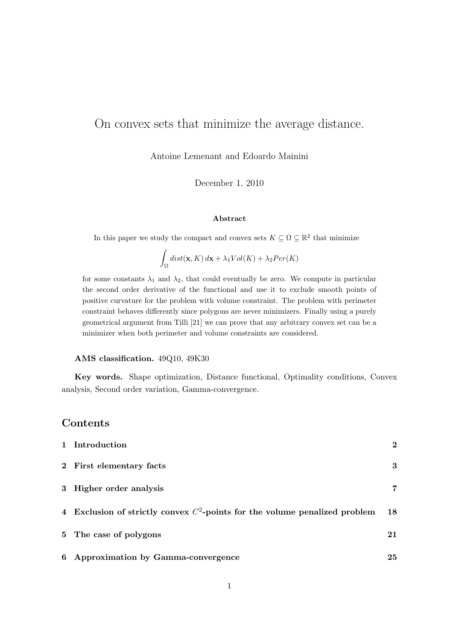# On convex sets that minimize the average distance.

Antoine Lemenant and Edoardo Mainini

December 1, 2010

#### Abstract

In this paper we study the compact and convex sets  $K \subseteq \Omega \subseteq \mathbb{R}^2$  that minimize

$$
\int_{\Omega} dist(\mathbf{x}, K) d\mathbf{x} + \lambda_1 Vol(K) + \lambda_2 Per(K)
$$

for some constants  $\lambda_1$  and  $\lambda_2$ , that could eventually be zero. We compute in particular the second order derivative of the functional and use it to exclude smooth points of positive curvature for the problem with volume constraint. The problem with perimeter constraint behaves differently since polygons are never minimizers. Finally using a purely geometrical argument from Tilli [21] we can prove that any arbitrary convex set can be a minimizer when both perimeter and volume constraints are considered.

#### AMS classification. 49Q10, 49K30

Key words. Shape optimization, Distance functional, Optimality conditions, Convex analysis, Second order variation, Gamma-convergence.

## Contents

| 1 Introduction                                                                | $\bf{2}$ |
|-------------------------------------------------------------------------------|----------|
| 2 First elementary facts                                                      | 3        |
| 3 Higher order analysis                                                       | 7        |
| 4 Exclusion of strictly convex $C^2$ -points for the volume penalized problem | 18       |
| 5 The case of polygons                                                        | 21       |
| 6 Approximation by Gamma-convergence                                          | 25       |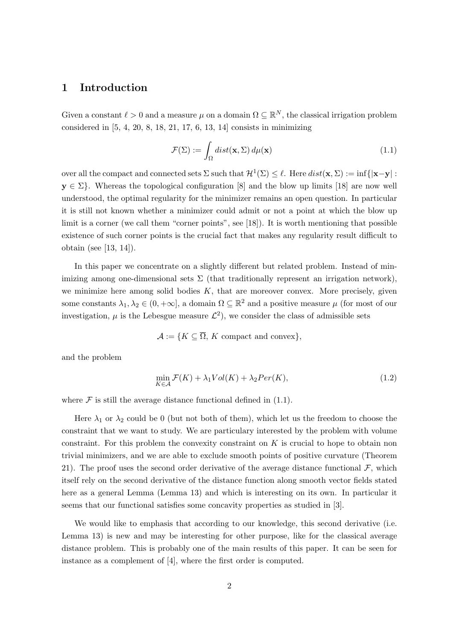## 1 Introduction

Given a constant  $\ell > 0$  and a measure  $\mu$  on a domain  $\Omega \subseteq \mathbb{R}^N$ , the classical irrigation problem considered in [5, 4, 20, 8, 18, 21, 17, 6, 13, 14] consists in minimizing

$$
\mathcal{F}(\Sigma) := \int_{\Omega} dist(\mathbf{x}, \Sigma) d\mu(\mathbf{x})
$$
\n(1.1)

over all the compact and connected sets  $\Sigma$  such that  $\mathcal{H}^1(\Sigma) \leq \ell$ . Here  $dist(\mathbf{x}, \Sigma) := \inf\{|\mathbf{x} - \mathbf{y}| :$  $y \in \Sigma$ . Whereas the topological configuration [8] and the blow up limits [18] are now well understood, the optimal regularity for the minimizer remains an open question. In particular it is still not known whether a minimizer could admit or not a point at which the blow up limit is a corner (we call them "corner points", see [18]). It is worth mentioning that possible existence of such corner points is the crucial fact that makes any regularity result difficult to obtain (see [13, 14]).

In this paper we concentrate on a slightly different but related problem. Instead of minimizing among one-dimensional sets  $\Sigma$  (that traditionally represent an irrigation network), we minimize here among solid bodies  $K$ , that are moreover convex. More precisely, given some constants  $\lambda_1, \lambda_2 \in (0, +\infty]$ , a domain  $\Omega \subseteq \mathbb{R}^2$  and a positive measure  $\mu$  (for most of our investigation,  $\mu$  is the Lebesgue measure  $\mathcal{L}^2$ , we consider the class of admissible sets

 $\mathcal{A} := \{K \subseteq \overline{\Omega}, K \text{ compact and convex}\},\$ 

and the problem

$$
\min_{K \in \mathcal{A}} \mathcal{F}(K) + \lambda_1 Vol(K) + \lambda_2 Per(K),\tag{1.2}
$$

where  $\mathcal F$  is still the average distance functional defined in (1.1).

Here  $\lambda_1$  or  $\lambda_2$  could be 0 (but not both of them), which let us the freedom to choose the constraint that we want to study. We are particulary interested by the problem with volume constraint. For this problem the convexity constraint on  $K$  is crucial to hope to obtain non trivial minimizers, and we are able to exclude smooth points of positive curvature (Theorem 21). The proof uses the second order derivative of the average distance functional  $\mathcal{F}$ , which itself rely on the second derivative of the distance function along smooth vector fields stated here as a general Lemma (Lemma 13) and which is interesting on its own. In particular it seems that our functional satisfies some concavity properties as studied in [3].

We would like to emphasis that according to our knowledge, this second derivative (i.e. Lemma 13) is new and may be interesting for other purpose, like for the classical average distance problem. This is probably one of the main results of this paper. It can be seen for instance as a complement of [4], where the first order is computed.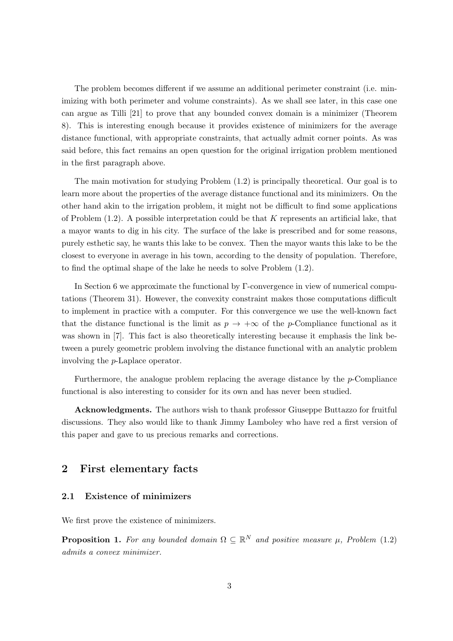The problem becomes different if we assume an additional perimeter constraint (i.e. minimizing with both perimeter and volume constraints). As we shall see later, in this case one can argue as Tilli [21] to prove that any bounded convex domain is a minimizer (Theorem 8). This is interesting enough because it provides existence of minimizers for the average distance functional, with appropriate constraints, that actually admit corner points. As was said before, this fact remains an open question for the original irrigation problem mentioned in the first paragraph above.

The main motivation for studying Problem (1.2) is principally theoretical. Our goal is to learn more about the properties of the average distance functional and its minimizers. On the other hand akin to the irrigation problem, it might not be difficult to find some applications of Problem  $(1.2)$ . A possible interpretation could be that K represents an artificial lake, that a mayor wants to dig in his city. The surface of the lake is prescribed and for some reasons, purely esthetic say, he wants this lake to be convex. Then the mayor wants this lake to be the closest to everyone in average in his town, according to the density of population. Therefore, to find the optimal shape of the lake he needs to solve Problem (1.2).

In Section 6 we approximate the functional by Γ-convergence in view of numerical computations (Theorem 31). However, the convexity constraint makes those computations difficult to implement in practice with a computer. For this convergence we use the well-known fact that the distance functional is the limit as  $p \to +\infty$  of the p-Compliance functional as it was shown in [7]. This fact is also theoretically interesting because it emphasis the link between a purely geometric problem involving the distance functional with an analytic problem involving the p-Laplace operator.

Furthermore, the analogue problem replacing the average distance by the p-Compliance functional is also interesting to consider for its own and has never been studied.

Acknowledgments. The authors wish to thank professor Giuseppe Buttazzo for fruitful discussions. They also would like to thank Jimmy Lamboley who have red a first version of this paper and gave to us precious remarks and corrections.

## 2 First elementary facts

#### 2.1 Existence of minimizers

We first prove the existence of minimizers.

**Proposition 1.** For any bounded domain  $\Omega \subseteq \mathbb{R}^N$  and positive measure  $\mu$ , Problem (1.2) admits a convex minimizer.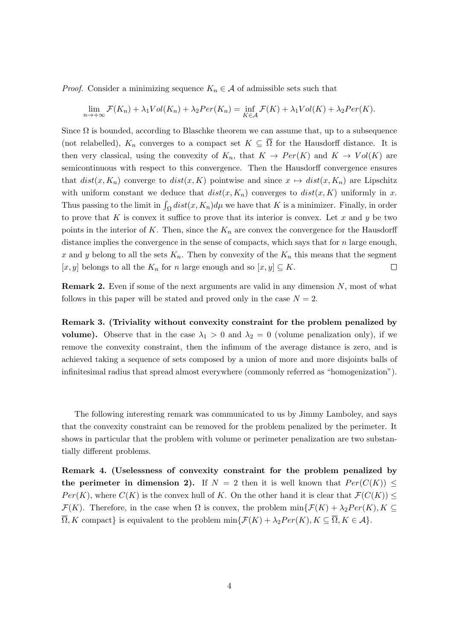*Proof.* Consider a minimizing sequence  $K_n \in \mathcal{A}$  of admissible sets such that

$$
\lim_{n \to +\infty} \mathcal{F}(K_n) + \lambda_1 Vol(K_n) + \lambda_2 Per(K_n) = \inf_{K \in \mathcal{A}} \mathcal{F}(K) + \lambda_1 Vol(K) + \lambda_2 Per(K).
$$

Since  $\Omega$  is bounded, according to Blaschke theorem we can assume that, up to a subsequence (not relabelled),  $K_n$  converges to a compact set  $K \subseteq \overline{\Omega}$  for the Hausdorff distance. It is then very classical, using the convexity of  $K_n$ , that  $K \to Per(K)$  and  $K \to Vol(K)$  are semicontinuous with respect to this convergence. Then the Hausdorff convergence ensures that  $dist(x, K_n)$  converge to  $dist(x, K)$  pointwise and since  $x \mapsto dist(x, K_n)$  are Lipschitz with uniform constant we deduce that  $dist(x, K_n)$  converges to  $dist(x, K)$  uniformly in x. Thus passing to the limit in  $\int_{\Omega} dist(x, K_n)d\mu$  we have that K is a minimizer. Finally, in order to prove that K is convex it suffice to prove that its interior is convex. Let x and y be two points in the interior of K. Then, since the  $K_n$  are convex the convergence for the Hausdorff distance implies the convergence in the sense of compacts, which says that for  $n$  large enough, x and y belong to all the sets  $K_n$ . Then by convexity of the  $K_n$  this means that the segment  $[x, y]$  belongs to all the  $K_n$  for n large enough and so  $[x, y] \subseteq K$ .  $\Box$ 

**Remark 2.** Even if some of the next arguments are valid in any dimension  $N$ , most of what follows in this paper will be stated and proved only in the case  $N = 2$ .

Remark 3. (Triviality without convexity constraint for the problem penalized by **volume).** Observe that in the case  $\lambda_1 > 0$  and  $\lambda_2 = 0$  (volume penalization only), if we remove the convexity constraint, then the infimum of the average distance is zero, and is achieved taking a sequence of sets composed by a union of more and more disjoints balls of infinitesimal radius that spread almost everywhere (commonly referred as "homogenization").

The following interesting remark was communicated to us by Jimmy Lamboley, and says that the convexity constraint can be removed for the problem penalized by the perimeter. It shows in particular that the problem with volume or perimeter penalization are two substantially different problems.

Remark 4. (Uselessness of convexity constraint for the problem penalized by the perimeter in dimension 2). If  $N = 2$  then it is well known that  $Per(C(K)) \leq$  $Per(K)$ , where  $C(K)$  is the convex hull of K. On the other hand it is clear that  $\mathcal{F}(C(K)) \leq$  $\mathcal{F}(K)$ . Therefore, in the case when  $\Omega$  is convex, the problem  $\min{\{\mathcal{F}(K) + \lambda_2Per(K), K\subseteq\} }$  $\overline{\Omega}$ , K compact} is equivalent to the problem min $\{\mathcal{F}(K) + \lambda_2 Per(K), K \subseteq \overline{\Omega}, K \in \mathcal{A}\}.$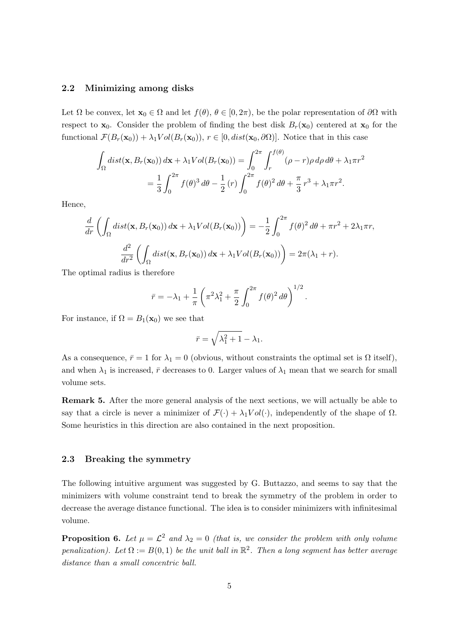#### 2.2 Minimizing among disks

Let  $\Omega$  be convex, let  $\mathbf{x}_0 \in \Omega$  and let  $f(\theta), \theta \in [0, 2\pi)$ , be the polar representation of  $\partial\Omega$  with respect to  $x_0$ . Consider the problem of finding the best disk  $B_r(x_0)$  centered at  $x_0$  for the functional  $\mathcal{F}(B_r(\mathbf{x}_0)) + \lambda_1 Vol(B_r(\mathbf{x}_0)), r \in [0, dist(\mathbf{x}_0, \partial \Omega)].$  Notice that in this case

$$
\int_{\Omega} dist(\mathbf{x}, B_r(\mathbf{x}_0)) d\mathbf{x} + \lambda_1 Vol(B_r(\mathbf{x}_0)) = \int_0^{2\pi} \int_r^{f(\theta)} (\rho - r) \rho d\rho d\theta + \lambda_1 \pi r^2
$$

$$
= \frac{1}{3} \int_0^{2\pi} f(\theta)^3 d\theta - \frac{1}{2} (r) \int_0^{2\pi} f(\theta)^2 d\theta + \frac{\pi}{3} r^3 + \lambda_1 \pi r^2.
$$

Hence,

$$
\frac{d}{dr}\left(\int_{\Omega} dist(\mathbf{x}, B_r(\mathbf{x}_0)) d\mathbf{x} + \lambda_1 Vol(B_r(\mathbf{x}_0))\right) = -\frac{1}{2} \int_0^{2\pi} f(\theta)^2 d\theta + \pi r^2 + 2\lambda_1 \pi r,
$$

$$
\frac{d^2}{dr^2} \left(\int_{\Omega} dist(\mathbf{x}, B_r(\mathbf{x}_0)) d\mathbf{x} + \lambda_1 Vol(B_r(\mathbf{x}_0))\right) = 2\pi (\lambda_1 + r).
$$

The optimal radius is therefore

$$
\bar{r} = -\lambda_1 + \frac{1}{\pi} \left( \pi^2 \lambda_1^2 + \frac{\pi}{2} \int_0^{2\pi} f(\theta)^2 d\theta \right)^{1/2}.
$$

For instance, if  $\Omega = B_1(\mathbf{x}_0)$  we see that

$$
\bar{r}=\sqrt{\lambda_1^2+1}-\lambda_1.
$$

As a consequence,  $\bar{r} = 1$  for  $\lambda_1 = 0$  (obvious, without constraints the optimal set is  $\Omega$  itself), and when  $\lambda_1$  is increased,  $\bar{r}$  decreases to 0. Larger values of  $\lambda_1$  mean that we search for small volume sets.

Remark 5. After the more general analysis of the next sections, we will actually be able to say that a circle is never a minimizer of  $\mathcal{F}(\cdot) + \lambda_1 Vol(\cdot)$ , independently of the shape of  $\Omega$ . Some heuristics in this direction are also contained in the next proposition.

#### 2.3 Breaking the symmetry

The following intuitive argument was suggested by G. Buttazzo, and seems to say that the minimizers with volume constraint tend to break the symmetry of the problem in order to decrease the average distance functional. The idea is to consider minimizers with infinitesimal volume.

**Proposition 6.** Let  $\mu = \mathcal{L}^2$  and  $\lambda_2 = 0$  (that is, we consider the problem with only volume penalization). Let  $\Omega := B(0,1)$  be the unit ball in  $\mathbb{R}^2$ . Then a long segment has better average distance than a small concentric ball.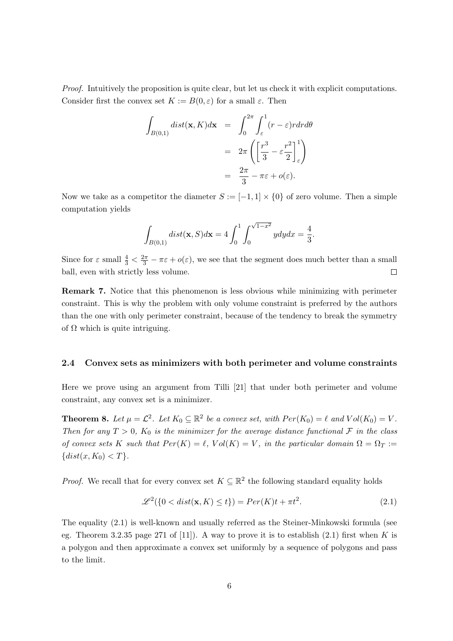Proof. Intuitively the proposition is quite clear, but let us check it with explicit computations. Consider first the convex set  $K := B(0, \varepsilon)$  for a small  $\varepsilon$ . Then

$$
\int_{B(0,1)} dist(\mathbf{x}, K) d\mathbf{x} = \int_0^{2\pi} \int_{\varepsilon}^1 (r - \varepsilon) r dr d\theta
$$

$$
= 2\pi \left( \left[ \frac{r^3}{3} - \varepsilon \frac{r^2}{2} \right]_{\varepsilon}^1 \right)
$$

$$
= \frac{2\pi}{3} - \pi \varepsilon + o(\varepsilon).
$$

Now we take as a competitor the diameter  $S := [-1,1] \times \{0\}$  of zero volume. Then a simple computation yields

$$
\int_{B(0,1)} dist(\mathbf{x}, S) d\mathbf{x} = 4 \int_0^1 \int_0^{\sqrt{1-x^2}} y dy dx = \frac{4}{3}.
$$

Since for  $\varepsilon$  small  $\frac{4}{3} < \frac{2\pi}{3} - \pi \varepsilon + o(\varepsilon)$ , we see that the segment does much better than a small ball, even with strictly less volume.  $\Box$ 

Remark 7. Notice that this phenomenon is less obvious while minimizing with perimeter constraint. This is why the problem with only volume constraint is preferred by the authors than the one with only perimeter constraint, because of the tendency to break the symmetry of  $\Omega$  which is quite intriguing.

#### 2.4 Convex sets as minimizers with both perimeter and volume constraints

Here we prove using an argument from Tilli [21] that under both perimeter and volume constraint, any convex set is a minimizer.

**Theorem 8.** Let  $\mu = \mathcal{L}^2$ . Let  $K_0 \subseteq \mathbb{R}^2$  be a convex set, with  $Per(K_0) = \ell$  and  $Vol(K_0) = V$ . Then for any  $T > 0$ ,  $K_0$  is the minimizer for the average distance functional F in the class of convex sets K such that  $Per(K) = \ell$ ,  $Vol(K) = V$ , in the particular domain  $\Omega = \Omega_T :=$  $\{dist(x, K_0) < T\}.$ 

*Proof.* We recall that for every convex set  $K \subseteq \mathbb{R}^2$  the following standard equality holds

$$
\mathcal{L}^2(\{0 < dist(\mathbf{x}, K) \le t\}) = Per(K)t + \pi t^2. \tag{2.1}
$$

The equality (2.1) is well-known and usually referred as the Steiner-Minkowski formula (see eg. Theorem 3.2.35 page 271 of [11]). A way to prove it is to establish (2.1) first when K is a polygon and then approximate a convex set uniformly by a sequence of polygons and pass to the limit.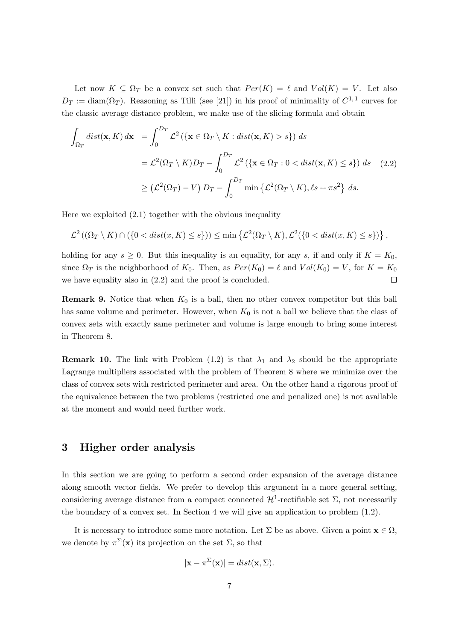Let now  $K \subseteq \Omega_T$  be a convex set such that  $Per(K) = \ell$  and  $Vol(K) = V$ . Let also  $D_T := \text{diam}(\Omega_T)$ . Reasoning as Tilli (see [21]) in his proof of minimality of  $C^{1,1}$  curves for the classic average distance problem, we make use of the slicing formula and obtain

$$
\int_{\Omega_T} dist(\mathbf{x}, K) d\mathbf{x} = \int_0^{D_T} \mathcal{L}^2 (\{\mathbf{x} \in \Omega_T \setminus K : dist(\mathbf{x}, K) > s\}) ds
$$
  
\n
$$
= \mathcal{L}^2(\Omega_T \setminus K) D_T - \int_0^{D_T} \mathcal{L}^2 (\{\mathbf{x} \in \Omega_T : 0 < dist(\mathbf{x}, K) \le s\}) ds \quad (2.2)
$$
  
\n
$$
\ge (\mathcal{L}^2(\Omega_T) - V) D_T - \int_0^{D_T} \min \{\mathcal{L}^2(\Omega_T \setminus K), \ell s + \pi s^2\} ds.
$$

Here we exploited (2.1) together with the obvious inequality

$$
\mathcal{L}^2\left((\Omega_T\setminus K)\cap (\{0
$$

holding for any  $s \geq 0$ . But this inequality is an equality, for any s, if and only if  $K = K_0$ , since  $\Omega_T$  is the neighborhood of  $K_0$ . Then, as  $Per(K_0) = \ell$  and  $Vol(K_0) = V$ , for  $K = K_0$ we have equality also in (2.2) and the proof is concluded.  $\Box$ 

**Remark 9.** Notice that when  $K_0$  is a ball, then no other convex competitor but this ball has same volume and perimeter. However, when  $K_0$  is not a ball we believe that the class of convex sets with exactly same perimeter and volume is large enough to bring some interest in Theorem 8.

**Remark 10.** The link with Problem (1.2) is that  $\lambda_1$  and  $\lambda_2$  should be the appropriate Lagrange multipliers associated with the problem of Theorem 8 where we minimize over the class of convex sets with restricted perimeter and area. On the other hand a rigorous proof of the equivalence between the two problems (restricted one and penalized one) is not available at the moment and would need further work.

## 3 Higher order analysis

In this section we are going to perform a second order expansion of the average distance along smooth vector fields. We prefer to develop this argument in a more general setting, considering average distance from a compact connected  $\mathcal{H}^1$ -rectifiable set  $\Sigma$ , not necessarily the boundary of a convex set. In Section 4 we will give an application to problem (1.2).

It is necessary to introduce some more notation. Let  $\Sigma$  be as above. Given a point  $\mathbf{x} \in \Omega$ , we denote by  $\pi^{\Sigma}(\mathbf{x})$  its projection on the set  $\Sigma$ , so that

$$
|\mathbf{x} - \pi^{\Sigma}(\mathbf{x})| = dist(\mathbf{x}, \Sigma).
$$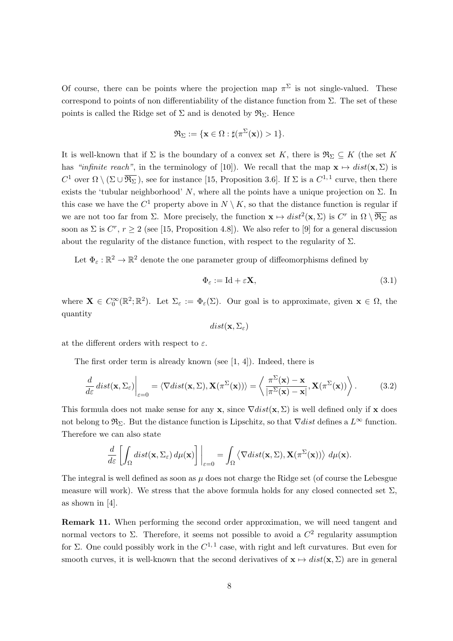Of course, there can be points where the projection map  $\pi^{\Sigma}$  is not single-valued. These correspond to points of non differentiability of the distance function from  $\Sigma$ . The set of these points is called the Ridge set of  $\Sigma$  and is denoted by  $\mathfrak{R}_{\Sigma}$ . Hence

$$
\mathfrak{R}_{\Sigma} := \{ \mathbf{x} \in \Omega : \sharp(\pi^{\Sigma}(\mathbf{x})) > 1 \}.
$$

It is well-known that if  $\Sigma$  is the boundary of a convex set K, there is  $\mathfrak{R}_{\Sigma} \subseteq K$  (the set K has "infinite reach", in the terminology of [10]). We recall that the map  $\mathbf{x} \mapsto dist(\mathbf{x}, \Sigma)$  is C<sup>1</sup> over  $\Omega \setminus (\Sigma \cup \overline{\mathfrak{R}_{\Sigma}})$ , see for instance [15, Proposition 3.6]. If  $\Sigma$  is a  $C^{1,1}$  curve, then there exists the 'tubular neighborhood' N, where all the points have a unique projection on  $\Sigma$ . In this case we have the  $C^1$  property above in  $N \setminus K$ , so that the distance function is regular if we are not too far from  $\Sigma$ . More precisely, the function  $\mathbf{x} \mapsto dist^2(\mathbf{x}, \Sigma)$  is  $C^r$  in  $\Omega \setminus \overline{\mathfrak{R}_{\Sigma}}$  as soon as  $\Sigma$  is  $C^r$ ,  $r \geq 2$  (see [15, Proposition 4.8]). We also refer to [9] for a general discussion about the regularity of the distance function, with respect to the regularity of  $\Sigma$ .

Let  $\Phi_{\varepsilon}: \mathbb{R}^2 \to \mathbb{R}^2$  denote the one parameter group of diffeomorphisms defined by

$$
\Phi_{\varepsilon} := \text{Id} + \varepsilon \mathbf{X},\tag{3.1}
$$

where  $\mathbf{X} \in C_0^{\infty}(\mathbb{R}^2;\mathbb{R}^2)$ . Let  $\Sigma_{\varepsilon} := \Phi_{\varepsilon}(\Sigma)$ . Our goal is to approximate, given  $\mathbf{x} \in \Omega$ , the quantity

$$
dist(\mathbf{x}, \Sigma_{\varepsilon})
$$

at the different orders with respect to  $\varepsilon$ .

The first order term is already known (see [1, 4]). Indeed, there is

$$
\frac{d}{d\varepsilon} dist(\mathbf{x}, \Sigma_{\varepsilon})\Big|_{\varepsilon=0} = \langle \nabla dist(\mathbf{x}, \Sigma), \mathbf{X}(\pi^{\Sigma}(\mathbf{x})) \rangle = \left\langle \frac{\pi^{\Sigma}(\mathbf{x}) - \mathbf{x}}{|\pi^{\Sigma}(\mathbf{x}) - \mathbf{x}|}, \mathbf{X}(\pi^{\Sigma}(\mathbf{x})) \right\rangle.
$$
(3.2)

This formula does not make sense for any x, since  $\nabla dist(x, \Sigma)$  is well defined only if x does not belong to  $\mathfrak{R}_{\Sigma}$ . But the distance function is Lipschitz, so that  $\nabla dist$  defines a  $L^{\infty}$  function. Therefore we can also state

$$
\frac{d}{d\varepsilon} \left[ \int_{\Omega} dist(\mathbf{x}, \Sigma_{\varepsilon}) d\mu(\mathbf{x}) \right] \bigg|_{\varepsilon=0} = \int_{\Omega} \left\langle \nabla dist(\mathbf{x}, \Sigma), \mathbf{X}(\pi^{\Sigma}(\mathbf{x})) \right\rangle d\mu(\mathbf{x}).
$$

The integral is well defined as soon as  $\mu$  does not charge the Ridge set (of course the Lebesgue measure will work). We stress that the above formula holds for any closed connected set  $\Sigma$ , as shown in [4].

Remark 11. When performing the second order approximation, we will need tangent and normal vectors to  $\Sigma$ . Therefore, it seems not possible to avoid a  $C^2$  regularity assumption for Σ. One could possibly work in the  $C^{1,1}$  case, with right and left curvatures. But even for smooth curves, it is well-known that the second derivatives of  $\mathbf{x} \mapsto dist(\mathbf{x}, \Sigma)$  are in general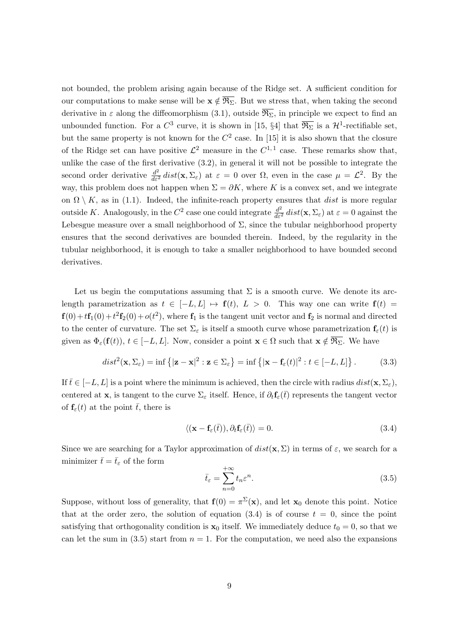not bounded, the problem arising again because of the Ridge set. A sufficient condition for our computations to make sense will be  $x \notin \overline{\mathfrak{R}_{\Sigma}}$ . But we stress that, when taking the second derivative in  $\varepsilon$  along the diffeomorphism (3.1), outside  $\overline{\mathfrak{R}_{\Sigma}}$ , in principle we expect to find an unbounded function. For a  $C^3$  curve, it is shown in [15, §4] that  $\overline{\mathfrak{R}_{\Sigma}}$  is a  $\mathcal{H}^1$ -rectifiable set, but the same property is not known for the  $C^2$  case. In [15] it is also shown that the closure of the Ridge set can have positive  $\mathcal{L}^2$  measure in the  $C^{1,1}$  case. These remarks show that, unlike the case of the first derivative (3.2), in general it will not be possible to integrate the second order derivative  $\frac{d^2}{d\varepsilon^2} dist(\mathbf{x}, \Sigma_{\varepsilon})$  at  $\varepsilon = 0$  over  $\Omega$ , even in the case  $\mu = \mathcal{L}^2$ . By the way, this problem does not happen when  $\Sigma = \partial K$ , where K is a convex set, and we integrate on  $\Omega \setminus K$ , as in (1.1). Indeed, the infinite-reach property ensures that *dist* is more regular outside K. Analogously, in the  $C^2$  case one could integrate  $\frac{d^2}{d\varepsilon^2}$  dist $(\mathbf{x}, \Sigma_{\varepsilon})$  at  $\varepsilon = 0$  against the Lebesgue measure over a small neighborhood of  $\Sigma$ , since the tubular neighborhood property ensures that the second derivatives are bounded therein. Indeed, by the regularity in the tubular neighborhood, it is enough to take a smaller neighborhood to have bounded second derivatives.

Let us begin the computations assuming that  $\Sigma$  is a smooth curve. We denote its arclength parametrization as  $t \in [-L, L] \mapsto f(t)$ ,  $L > 0$ . This way one can write  $f(t) =$  $f(0) + t f_1(0) + t^2 f_2(0) + o(t^2)$ , where  $f_1$  is the tangent unit vector and  $f_2$  is normal and directed to the center of curvature. The set  $\Sigma_{\varepsilon}$  is itself a smooth curve whose parametrization  $\mathbf{f}_{\varepsilon}(t)$  is given as  $\Phi_{\varepsilon}(\mathbf{f}(t)), t \in [-L, L]$ . Now, consider a point  $\mathbf{x} \in \Omega$  such that  $\mathbf{x} \notin \overline{\mathfrak{R}_{\Sigma}}$ . We have

$$
dist^{2}(\mathbf{x}, \Sigma_{\varepsilon}) = \inf \left\{ |\mathbf{z} - \mathbf{x}|^{2} : \mathbf{z} \in \Sigma_{\varepsilon} \right\} = \inf \left\{ |\mathbf{x} - \mathbf{f}_{\varepsilon}(t)|^{2} : t \in [-L, L] \right\}.
$$
 (3.3)

If  $\bar{t} \in [-L, L]$  is a point where the minimum is achieved, then the circle with radius  $dist(\mathbf{x}, \Sigma_{\varepsilon})$ , centered at **x**, is tangent to the curve  $\Sigma_{\varepsilon}$  itself. Hence, if  $\partial_t \mathbf{f}_{\varepsilon}(\bar{t})$  represents the tangent vector of  $f_{\varepsilon}(t)$  at the point  $\bar{t}$ , there is

$$
\langle (\mathbf{x} - \mathbf{f}_{\varepsilon}(\bar{t})), \partial_t \mathbf{f}_{\varepsilon}(\bar{t}) \rangle = 0.
$$
\n(3.4)

Since we are searching for a Taylor approximation of  $dist(\mathbf{x}, \Sigma)$  in terms of  $\varepsilon$ , we search for a minimizer  $\bar{t}=\bar{t}_{\varepsilon}$  of the form

$$
\bar{t}_{\varepsilon} = \sum_{n=0}^{+\infty} t_n \varepsilon^n.
$$
\n(3.5)

Suppose, without loss of generality, that  $f(0) = \pi^{\Sigma}(x)$ , and let  $x_0$  denote this point. Notice that at the order zero, the solution of equation  $(3.4)$  is of course  $t = 0$ , since the point satisfying that orthogonality condition is  $x_0$  itself. We immediately deduce  $t_0 = 0$ , so that we can let the sum in (3.5) start from  $n = 1$ . For the computation, we need also the expansions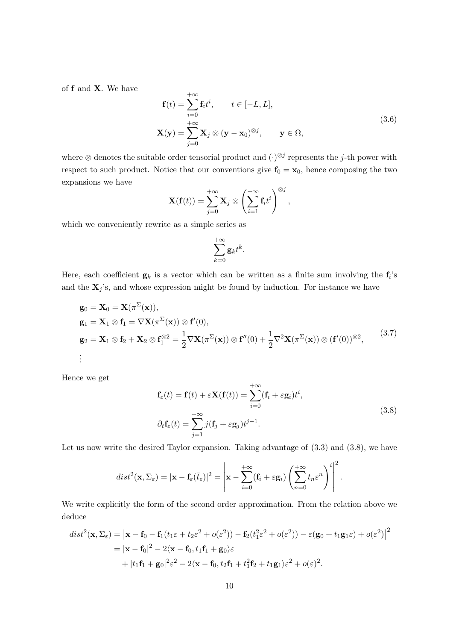of f and X. We have

$$
\mathbf{f}(t) = \sum_{i=0}^{+\infty} \mathbf{f}_i t^i, \qquad t \in [-L, L],
$$
  

$$
\mathbf{X}(\mathbf{y}) = \sum_{j=0}^{+\infty} \mathbf{X}_j \otimes (\mathbf{y} - \mathbf{x}_0)^{\otimes j}, \qquad \mathbf{y} \in \Omega,
$$
 (3.6)

where  $\otimes$  denotes the suitable order tensorial product and  $(\cdot)^{\otimes j}$  represents the j-th power with respect to such product. Notice that our conventions give  $f_0 = x_0$ , hence composing the two expansions we have

$$
\mathbf{X}(\mathbf{f}(t)) = \sum_{j=0}^{+\infty} \mathbf{X}_j \otimes \left(\sum_{i=1}^{+\infty} \mathbf{f}_i t^i\right)^{\otimes j},
$$

which we conveniently rewrite as a simple series as

$$
\sum_{k=0}^{+\infty} \mathbf{g}_k t^k.
$$

Here, each coefficient  $g_k$  is a vector which can be written as a finite sum involving the  $f_i$ 's and the  $X_j$ 's, and whose expression might be found by induction. For instance we have

$$
\mathbf{g}_0 = \mathbf{X}_0 = \mathbf{X}(\pi^{\Sigma}(\mathbf{x})),
$$
  
\n
$$
\mathbf{g}_1 = \mathbf{X}_1 \otimes \mathbf{f}_1 = \nabla \mathbf{X}(\pi^{\Sigma}(\mathbf{x})) \otimes \mathbf{f}'(0),
$$
  
\n
$$
\mathbf{g}_2 = \mathbf{X}_1 \otimes \mathbf{f}_2 + \mathbf{X}_2 \otimes \mathbf{f}_1^{\otimes 2} = \frac{1}{2} \nabla \mathbf{X}(\pi^{\Sigma}(\mathbf{x})) \otimes \mathbf{f}''(0) + \frac{1}{2} \nabla^2 \mathbf{X}(\pi^{\Sigma}(\mathbf{x})) \otimes (\mathbf{f}'(0))^{\otimes 2},
$$
\n
$$
\vdots
$$
\n(3.7)

Hence we get

$$
\mathbf{f}_{\varepsilon}(t) = \mathbf{f}(t) + \varepsilon \mathbf{X}(\mathbf{f}(t)) = \sum_{i=0}^{+\infty} (\mathbf{f}_i + \varepsilon \mathbf{g}_i) t^i,
$$
  
\n
$$
\partial_t \mathbf{f}_{\varepsilon}(t) = \sum_{j=1}^{+\infty} j(\mathbf{f}_j + \varepsilon \mathbf{g}_j) t^{j-1}.
$$
\n(3.8)

Let us now write the desired Taylor expansion. Taking advantage of  $(3.3)$  and  $(3.8)$ , we have

$$
dist^{2}(\mathbf{x}, \Sigma_{\varepsilon}) = |\mathbf{x} - \mathbf{f}_{\varepsilon}(\bar{t}_{\varepsilon})|^{2} = \left|\mathbf{x} - \sum_{i=0}^{+\infty} (\mathbf{f}_{i} + \varepsilon \mathbf{g}_{i}) \left( \sum_{n=0}^{+\infty} t_{n} \varepsilon^{n} \right)^{i} \right|^{2}.
$$

We write explicitly the form of the second order approximation. From the relation above we deduce

$$
dist^{2}(\mathbf{x}, \Sigma_{\varepsilon}) = |\mathbf{x} - \mathbf{f}_{0} - \mathbf{f}_{1}(t_{1}\varepsilon + t_{2}\varepsilon^{2} + o(\varepsilon^{2})) - \mathbf{f}_{2}(t_{1}^{2}\varepsilon^{2} + o(\varepsilon^{2})) - \varepsilon(\mathbf{g}_{0} + t_{1}\mathbf{g}_{1}\varepsilon) + o(\varepsilon^{2})|^{2}
$$
  
=  $|\mathbf{x} - \mathbf{f}_{0}|^{2} - 2\langle \mathbf{x} - \mathbf{f}_{0}, t_{1}\mathbf{f}_{1} + \mathbf{g}_{0}\rangle\varepsilon$   
+  $|t_{1}\mathbf{f}_{1} + \mathbf{g}_{0}|^{2}\varepsilon^{2} - 2\langle \mathbf{x} - \mathbf{f}_{0}, t_{2}\mathbf{f}_{1} + t_{1}^{2}\mathbf{f}_{2} + t_{1}\mathbf{g}_{1}\rangle\varepsilon^{2} + o(\varepsilon)^{2}.$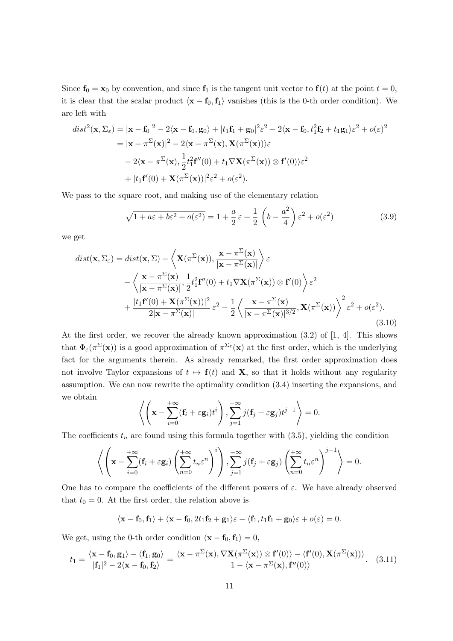Since  $f_0 = x_0$  by convention, and since  $f_1$  is the tangent unit vector to  $f(t)$  at the point  $t = 0$ , it is clear that the scalar product  $\langle x - f_0, f_1 \rangle$  vanishes (this is the 0-th order condition). We are left with

$$
dist^{2}(\mathbf{x}, \Sigma_{\varepsilon}) = |\mathbf{x} - \mathbf{f}_{0}|^{2} - 2\langle \mathbf{x} - \mathbf{f}_{0}, \mathbf{g}_{0} \rangle + |t_{1}\mathbf{f}_{1} + \mathbf{g}_{0}|^{2}\varepsilon^{2} - 2\langle \mathbf{x} - \mathbf{f}_{0}, t_{1}^{2}\mathbf{f}_{2} + t_{1}\mathbf{g}_{1}\rangle\varepsilon^{2} + o(\varepsilon)^{2}
$$
  
\n
$$
= |\mathbf{x} - \pi^{\Sigma}(\mathbf{x})|^{2} - 2\langle \mathbf{x} - \pi^{\Sigma}(\mathbf{x}), \mathbf{X}(\pi^{\Sigma}(\mathbf{x}))\rangle\varepsilon
$$
  
\n
$$
- 2\langle \mathbf{x} - \pi^{\Sigma}(\mathbf{x}), \frac{1}{2}t_{1}^{2}\mathbf{f}''(0) + t_{1}\nabla\mathbf{X}(\pi^{\Sigma}(\mathbf{x})) \otimes \mathbf{f}'(0)\rangle\varepsilon^{2}
$$
  
\n
$$
+ |t_{1}\mathbf{f}'(0) + \mathbf{X}(\pi^{\Sigma}(\mathbf{x}))|^{2}\varepsilon^{2} + o(\varepsilon^{2}).
$$

We pass to the square root, and making use of the elementary relation

$$
\sqrt{1 + a\varepsilon + b\varepsilon^2 + o(\varepsilon^2)} = 1 + \frac{a}{2}\varepsilon + \frac{1}{2}\left(b - \frac{a^2}{4}\right)\varepsilon^2 + o(\varepsilon^2)
$$
\n(3.9)

we get

$$
dist(\mathbf{x}, \Sigma_{\varepsilon}) = dist(\mathbf{x}, \Sigma) - \left\langle \mathbf{X}(\pi^{\Sigma}(\mathbf{x})), \frac{\mathbf{x} - \pi^{\Sigma}(\mathbf{x})}{|\mathbf{x} - \pi^{\Sigma}(\mathbf{x})|} \right\rangle \varepsilon - \left\langle \frac{\mathbf{x} - \pi^{\Sigma}(\mathbf{x})}{|\mathbf{x} - \pi^{\Sigma}(\mathbf{x})|}, \frac{1}{2} t_{1}^{2} \mathbf{f}''(0) + t_{1} \nabla \mathbf{X}(\pi^{\Sigma}(\mathbf{x})) \otimes \mathbf{f}'(0) \right\rangle \varepsilon^{2} + \frac{|t_{1} \mathbf{f}'(0) + \mathbf{X}(\pi^{\Sigma}(\mathbf{x}))|^{2}}{2|\mathbf{x} - \pi^{\Sigma}(\mathbf{x})|} \varepsilon^{2} - \frac{1}{2} \left\langle \frac{\mathbf{x} - \pi^{\Sigma}(\mathbf{x})}{|\mathbf{x} - \pi^{\Sigma}(\mathbf{x})|^{3/2}}, \mathbf{X}(\pi^{\Sigma}(\mathbf{x})) \right\rangle^{2} \varepsilon^{2} + o(\varepsilon^{2}).
$$
\n(3.10)

At the first order, we recover the already known approximation (3.2) of [1, 4]. This shows that  $\Phi_{\varepsilon}(\pi^{\Sigma}(\mathbf{x}))$  is a good approximation of  $\pi^{\Sigma_{\varepsilon}}(\mathbf{x})$  at the first order, which is the underlying fact for the arguments therein. As already remarked, the first order approximation does not involve Taylor expansions of  $t \mapsto f(t)$  and X, so that it holds without any regularity assumption. We can now rewrite the optimality condition (3.4) inserting the expansions, and we obtain

$$
\left\langle \left(\mathbf{x} - \sum_{i=0}^{+\infty} (\mathbf{f}_i + \varepsilon \mathbf{g}_i) t^i \right), \sum_{j=1}^{+\infty} j(\mathbf{f}_j + \varepsilon \mathbf{g}_j) t^{j-1} \right\rangle = 0.
$$

The coefficients  $t_n$  are found using this formula together with  $(3.5)$ , yielding the condition

$$
\left\langle \left( \mathbf{x} - \sum_{i=0}^{+\infty} (\mathbf{f}_i + \varepsilon \mathbf{g}_i) \left( \sum_{n=0}^{+\infty} t_n \varepsilon^n \right)^i \right), \sum_{j=1}^{+\infty} j(\mathbf{f}_j + \varepsilon \mathbf{g}_j) \left( \sum_{n=0}^{+\infty} t_n \varepsilon^n \right)^{j-1} \right\rangle = 0.
$$

One has to compare the coefficients of the different powers of  $\varepsilon$ . We have already observed that  $t_0 = 0$ . At the first order, the relation above is

$$
\langle \mathbf{x} - \mathbf{f}_0, \mathbf{f}_1 \rangle + \langle \mathbf{x} - \mathbf{f}_0, 2t_1 \mathbf{f}_2 + \mathbf{g}_1 \rangle \varepsilon - \langle \mathbf{f}_1, t_1 \mathbf{f}_1 + \mathbf{g}_0 \rangle \varepsilon + o(\varepsilon) = 0.
$$

We get, using the 0-th order condition  $\langle \mathbf{x} - \mathbf{f}_0, \mathbf{f}_1 \rangle = 0$ ,

$$
t_1 = \frac{\langle \mathbf{x} - \mathbf{f}_0, \mathbf{g}_1 \rangle - \langle \mathbf{f}_1, \mathbf{g}_0 \rangle}{|\mathbf{f}_1|^2 - 2\langle \mathbf{x} - \mathbf{f}_0, \mathbf{f}_2 \rangle} = \frac{\langle \mathbf{x} - \pi^{\Sigma}(\mathbf{x}), \nabla \mathbf{X}(\pi^{\Sigma}(\mathbf{x})) \otimes \mathbf{f}'(0) \rangle - \langle \mathbf{f}'(0), \mathbf{X}(\pi^{\Sigma}(\mathbf{x})) \rangle}{1 - \langle \mathbf{x} - \pi^{\Sigma}(\mathbf{x}), \mathbf{f}''(0) \rangle}.
$$
 (3.11)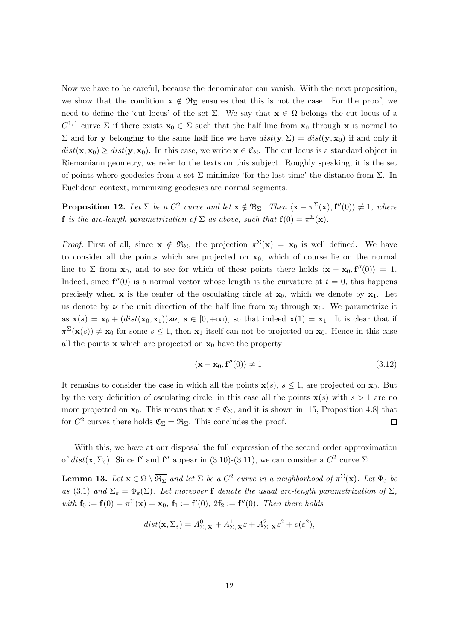Now we have to be careful, because the denominator can vanish. With the next proposition, we show that the condition  $x \notin \overline{\mathfrak{R}_{\Sigma}}$  ensures that this is not the case. For the proof, we need to define the 'cut locus' of the set  $\Sigma$ . We say that  $\mathbf{x} \in \Omega$  belongs the cut locus of a  $C^{1,1}$  curve  $\Sigma$  if there exists  $\mathbf{x}_0 \in \Sigma$  such that the half line from  $\mathbf{x}_0$  through x is normal to Σ and for y belonging to the same half line we have  $dist(y, Σ) = dist(y, x<sub>0</sub>)$  if and only if  $dist(\mathbf{x}, \mathbf{x}_0) \geq dist(\mathbf{y}, \mathbf{x}_0)$ . In this case, we write  $\mathbf{x} \in \mathfrak{C}_{\Sigma}$ . The cut locus is a standard object in Riemaniann geometry, we refer to the texts on this subject. Roughly speaking, it is the set of points where geodesics from a set  $\Sigma$  minimize 'for the last time' the distance from  $\Sigma$ . In Euclidean context, minimizing geodesics are normal segments.

**Proposition 12.** Let  $\Sigma$  be a  $C^2$  curve and let  $\mathbf{x} \notin \overline{\mathfrak{R}_{\Sigma}}$ . Then  $\langle \mathbf{x} - \pi^{\Sigma}(\mathbf{x}), \mathbf{f}''(0) \rangle \neq 1$ , where **f** is the arc-length parametrization of  $\Sigma$  as above, such that  $f(0) = \pi^{\Sigma}(\mathbf{x})$ .

*Proof.* First of all, since  $\mathbf{x} \notin \mathfrak{R}_{\Sigma}$ , the projection  $\pi^{\Sigma}(\mathbf{x}) = \mathbf{x}_0$  is well defined. We have to consider all the points which are projected on  $x_0$ , which of course lie on the normal line to  $\Sigma$  from  $\mathbf{x}_0$ , and to see for which of these points there holds  $\langle \mathbf{x} - \mathbf{x}_0, \mathbf{f}''(0) \rangle = 1$ . Indeed, since  $f''(0)$  is a normal vector whose length is the curvature at  $t = 0$ , this happens precisely when **x** is the center of the osculating circle at  $\mathbf{x}_0$ , which we denote by  $\mathbf{x}_1$ . Let us denote by  $\nu$  the unit direction of the half line from  $x_0$  through  $x_1$ . We parametrize it as  $\mathbf{x}(s) = \mathbf{x}_0 + (dist(\mathbf{x}_0, \mathbf{x}_1))s\nu, s \in [0, +\infty)$ , so that indeed  $\mathbf{x}(1) = \mathbf{x}_1$ . It is clear that if  $\pi^{\Sigma}(\mathbf{x}(s)) \neq \mathbf{x}_0$  for some  $s \leq 1$ , then  $\mathbf{x}_1$  itself can not be projected on  $\mathbf{x}_0$ . Hence in this case all the points  $x$  which are projected on  $x_0$  have the property

$$
\langle \mathbf{x} - \mathbf{x}_0, \mathbf{f}''(0) \rangle \neq 1. \tag{3.12}
$$

It remains to consider the case in which all the points  $\mathbf{x}(s), s \leq 1$ , are projected on  $\mathbf{x}_0$ . But by the very definition of osculating circle, in this case all the points  $\mathbf{x}(s)$  with  $s > 1$  are no more projected on  $\mathbf{x}_0$ . This means that  $\mathbf{x} \in \mathfrak{C}_{\Sigma}$ , and it is shown in [15, Proposition 4.8] that for  $C^2$  curves there holds  $\mathfrak{C}_{\Sigma} = \overline{\mathfrak{R}_{\Sigma}}$ . This concludes the proof.  $\Box$ 

With this, we have at our disposal the full expression of the second order approximation of  $dist(\mathbf{x}, \Sigma_{\varepsilon})$ . Since  $\mathbf{f}'$  and  $\mathbf{f}''$  appear in (3.10)-(3.11), we can consider a  $C^2$  curve  $\Sigma$ .

**Lemma 13.** Let  $\mathbf{x} \in \Omega \setminus \overline{\mathfrak{R}_{\Sigma}}$  and let  $\Sigma$  be a  $C^2$  curve in a neighborhood of  $\pi^{\Sigma}(\mathbf{x})$ . Let  $\Phi_{\varepsilon}$  be as (3.1) and  $\Sigma_{\varepsilon} = \Phi_{\varepsilon}(\Sigma)$ . Let moreover f denote the usual arc-length parametrization of  $\Sigma$ , with  $f_0 := f(0) = \pi^{\Sigma}(x) = x_0$ ,  $f_1 := f'(0)$ ,  $2f_2 := f''(0)$ . Then there holds

$$
dist(\mathbf{x}, \Sigma_{\varepsilon}) = A_{\Sigma, \mathbf{X}}^0 + A_{\Sigma, \mathbf{X}}^1 \varepsilon + A_{\Sigma, \mathbf{X}}^2 \varepsilon^2 + o(\varepsilon^2),
$$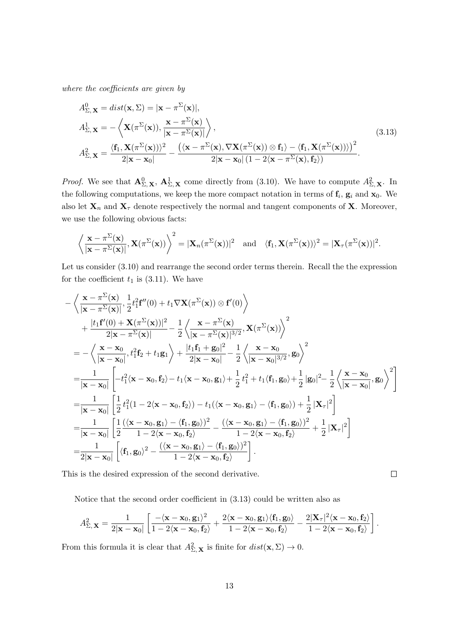where the coefficients are given by

$$
A_{\Sigma, \mathbf{X}}^0 = dist(\mathbf{x}, \Sigma) = |\mathbf{x} - \pi^{\Sigma}(\mathbf{x})|,
$$
  
\n
$$
A_{\Sigma, \mathbf{X}}^1 = -\left\langle \mathbf{X}(\pi^{\Sigma}(\mathbf{x})), \frac{\mathbf{x} - \pi^{\Sigma}(\mathbf{x})}{|\mathbf{x} - \pi^{\Sigma}(\mathbf{x})|} \right\rangle,
$$
  
\n
$$
A_{\Sigma, \mathbf{X}}^2 = \frac{\langle \mathbf{f}_1, \mathbf{X}(\pi^{\Sigma}(\mathbf{x})) \rangle^2}{2|\mathbf{x} - \mathbf{x}_0|} - \frac{\langle \langle \mathbf{x} - \pi^{\Sigma}(\mathbf{x}), \nabla \mathbf{X}(\pi^{\Sigma}(\mathbf{x})) \otimes \mathbf{f}_1 \rangle - \langle \mathbf{f}_1, \mathbf{X}(\pi^{\Sigma}(\mathbf{x})) \rangle \rangle^2}{2|\mathbf{x} - \mathbf{x}_0| (1 - 2\langle \mathbf{x} - \pi^{\Sigma}(\mathbf{x}), \mathbf{f}_2 \rangle)}.
$$
\n(3.13)

*Proof.* We see that  $\mathbf{A}_{\Sigma,\mathbf{X}}^0$ ,  $\mathbf{A}_{\Sigma,\mathbf{X}}^1$  come directly from (3.10). We have to compute  $A_{\Sigma,\mathbf{X}}^2$ . In the following computations, we keep the more compact notation in terms of  $f_i$ ,  $g_i$  and  $x_0$ . We also let  $X_n$  and  $X_\tau$  denote respectively the normal and tangent components of X. Moreover, we use the following obvious facts:

$$
\left\langle \frac{\mathbf{x} - \pi^{\Sigma}(\mathbf{x})}{|\mathbf{x} - \pi^{\Sigma}(\mathbf{x})|}, \mathbf{X}(\pi^{\Sigma}(\mathbf{x})) \right\rangle^{2} = |\mathbf{X}_{n}(\pi^{\Sigma}(\mathbf{x}))|^{2} \text{ and } \langle \mathbf{f}_{1}, \mathbf{X}(\pi^{\Sigma}(\mathbf{x})) \rangle^{2} = |\mathbf{X}_{\tau}(\pi^{\Sigma}(\mathbf{x}))|^{2}.
$$

Let us consider  $(3.10)$  and rearrange the second order terms therein. Recall the the expression for the coefficient  $t_1$  is (3.11). We have

$$
\begin{split} &-\left\langle \frac{\mathbf{x}-\pi^{\Sigma}(\mathbf{x})}{|\mathbf{x}-\pi^{\Sigma}(\mathbf{x})|}, \frac{1}{2}t_{1}^{2}\mathbf{f}''(0) + t_{1}\nabla\mathbf{X}(\pi^{\Sigma}(\mathbf{x}))\otimes \mathbf{f}'(0)\right\rangle \\ & + \frac{|t_{1}\mathbf{f}'(0)+\mathbf{X}(\pi^{\Sigma}(\mathbf{x}))|^{2}}{2|\mathbf{x}-\pi^{\Sigma}(\mathbf{x})|} - \frac{1}{2}\left\langle \frac{\mathbf{x}-\pi^{\Sigma}(\mathbf{x})}{|\mathbf{x}-\pi^{\Sigma}(\mathbf{x})|^{3/2}}, \mathbf{X}(\pi^{\Sigma}(\mathbf{x}))\right\rangle^{2} \\ & = -\left\langle \frac{\mathbf{x}-\mathbf{x}_{0}}{|\mathbf{x}-\mathbf{x}_{0}|}, t_{1}^{2}\mathbf{f}_{2}+t_{1}\mathbf{g}_{1}\right\rangle + \frac{|t_{1}\mathbf{f}_{1}+\mathbf{g}_{0}|^{2}}{2|\mathbf{x}-\mathbf{x}_{0}|} - \frac{1}{2}\left\langle \frac{\mathbf{x}-\mathbf{x}_{0}}{|\mathbf{x}-\mathbf{x}_{0}|^{3/2}}, \mathbf{g}_{0}\right\rangle^{2} \\ & = \frac{1}{|\mathbf{x}-\mathbf{x}_{0}|}\left[-t_{1}^{2}(\mathbf{x}-\mathbf{x}_{0},\mathbf{f}_{2})-t_{1}\langle\mathbf{x}-\mathbf{x}_{0},\mathbf{g}_{1}\rangle+\frac{1}{2}t_{1}^{2}+t_{1}\langle\mathbf{f}_{1},\mathbf{g}_{0}\rangle+\frac{1}{2}|g_{0}|^{2} - \frac{1}{2}\left\langle \frac{\mathbf{x}-\mathbf{x}_{0}}{|\mathbf{x}-\mathbf{x}_{0}|}, \mathbf{g}_{0}\right\rangle^{2}\right] \\ & = \frac{1}{|\mathbf{x}-\mathbf{x}_{0}|}\left[\frac{1}{2}t_{1}^{2}(1-2\langle\mathbf{x}-\mathbf{x}_{0},\mathbf{f}_{2}\rangle)-t_{1}(\langle\mathbf{x}-\mathbf{x}_{0},\mathbf{g}_{1}\rangle-\langle\mathbf{f}_{1},\mathbf{g}_{0}\rangle)+\frac{1}{2}| \mathbf{X}_{\tau}|^{2}\right] \\ & = \frac{1}{|\mathbf{x}-\mathbf{x}_{0}|}\left[\frac{1}{2}\frac{(\langle\mathbf{x}-
$$

This is the desired expression of the second derivative.

Notice that the second order coefficient in (3.13) could be written also as

$$
A_{\Sigma,\mathbf{X}}^2 = \frac{1}{2|\mathbf{x}-\mathbf{x}_0|} \left[ \frac{-\langle \mathbf{x}-\mathbf{x}_0, \mathbf{g}_1 \rangle^2}{1-2\langle \mathbf{x}-\mathbf{x}_0, \mathbf{f}_2 \rangle} + \frac{2\langle \mathbf{x}-\mathbf{x}_0, \mathbf{g}_1 \rangle \langle \mathbf{f}_1, \mathbf{g}_0 \rangle}{1-2\langle \mathbf{x}-\mathbf{x}_0, \mathbf{f}_2 \rangle} - \frac{2|\mathbf{X}_{\tau}|^2 \langle \mathbf{x}-\mathbf{x}_0, \mathbf{f}_2 \rangle}{1-2\langle \mathbf{x}-\mathbf{x}_0, \mathbf{f}_2 \rangle} \right].
$$

 $\Box$ 

From this formula it is clear that  $A_{\Sigma,\mathbf{X}}^2$  is finite for  $dist(\mathbf{x},\Sigma) \to 0$ .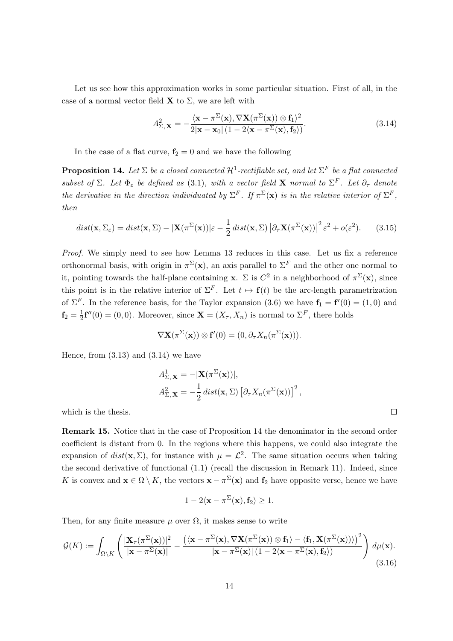Let us see how this approximation works in some particular situation. First of all, in the case of a normal vector field  $X$  to  $\Sigma$ , we are left with

$$
A_{\Sigma,\mathbf{X}}^2 = -\frac{\langle \mathbf{x} - \pi^{\Sigma}(\mathbf{x}), \nabla \mathbf{X}(\pi^{\Sigma}(\mathbf{x})) \otimes \mathbf{f}_1 \rangle^2}{2|\mathbf{x} - \mathbf{x}_0| (1 - 2\langle \mathbf{x} - \pi^{\Sigma}(\mathbf{x}), \mathbf{f}_2 \rangle)}.
$$
(3.14)

In the case of a flat curve,  $f_2 = 0$  and we have the following

**Proposition 14.** Let  $\Sigma$  be a closed connected  $\mathcal{H}^1$ -rectifiable set, and let  $\Sigma^F$  be a flat connected subset of  $\Sigma$ . Let  $\Phi_{\varepsilon}$  be defined as (3.1), with a vector field **X** normal to  $\Sigma^{F}$ . Let  $\partial_{\tau}$  denote the derivative in the direction individuated by  $\Sigma^F$ . If  $\pi^{\Sigma}(\mathbf{x})$  is in the relative interior of  $\Sigma^F$ , then

$$
dist(\mathbf{x}, \Sigma_{\varepsilon}) = dist(\mathbf{x}, \Sigma) - |\mathbf{X}(\pi^{\Sigma}(\mathbf{x}))|\varepsilon - \frac{1}{2} dist(\mathbf{x}, \Sigma) |\partial_{\tau} \mathbf{X}(\pi^{\Sigma}(\mathbf{x}))|^{2} \varepsilon^{2} + o(\varepsilon^{2}).
$$
 (3.15)

Proof. We simply need to see how Lemma 13 reduces in this case. Let us fix a reference orthonormal basis, with origin in  $\pi^{\Sigma}(\mathbf{x})$ , an axis parallel to  $\Sigma^{F}$  and the other one normal to it, pointing towards the half-plane containing **x**.  $\Sigma$  is  $C^2$  in a neighborhood of  $\pi^{\Sigma}(\mathbf{x})$ , since this point is in the relative interior of  $\Sigma^F$ . Let  $t \mapsto \mathbf{f}(t)$  be the arc-length parametrization of  $\Sigma^F$ . In the reference basis, for the Taylor expansion (3.6) we have  $f_1 = f'(0) = (1,0)$  and  $\mathbf{f}_2=\frac{1}{2}$  $\frac{1}{2}$ **f**''(0) = (0, 0). Moreover, since **X** = ( $X_\tau$ ,  $X_n$ ) is normal to  $\Sigma^F$ , there holds

$$
\nabla \mathbf{X}(\pi^{\Sigma}(\mathbf{x})) \otimes \mathbf{f}'(0) = (0, \partial_{\tau} X_n(\pi^{\Sigma}(\mathbf{x}))).
$$

Hence, from  $(3.13)$  and  $(3.14)$  we have

$$
A_{\Sigma, \mathbf{X}}^1 = -|\mathbf{X}(\pi^{\Sigma}(\mathbf{x}))|,
$$
  
\n
$$
A_{\Sigma, \mathbf{X}}^2 = -\frac{1}{2} dist(\mathbf{x}, \Sigma) [\partial_\tau X_n(\pi^{\Sigma}(\mathbf{x}))]^2,
$$

which is the thesis.

Remark 15. Notice that in the case of Proposition 14 the denominator in the second order coefficient is distant from 0. In the regions where this happens, we could also integrate the expansion of  $dist(\mathbf{x}, \Sigma)$ , for instance with  $\mu = \mathcal{L}^2$ . The same situation occurs when taking the second derivative of functional (1.1) (recall the discussion in Remark 11). Indeed, since K is convex and  $\mathbf{x} \in \Omega \setminus K$ , the vectors  $\mathbf{x} - \pi^{\Sigma}(\mathbf{x})$  and  $\mathbf{f}_2$  have opposite verse, hence we have

$$
1-2\langle \mathbf{x}-\pi^\Sigma(\mathbf{x}),\mathbf{f}_2\rangle\geq 1.
$$

Then, for any finite measure  $\mu$  over  $\Omega$ , it makes sense to write

$$
\mathcal{G}(K) := \int_{\Omega \setminus K} \left( \frac{|\mathbf{X}_{\tau}(\pi^{\Sigma}(\mathbf{x}))|^2}{|\mathbf{x} - \pi^{\Sigma}(\mathbf{x})|} - \frac{(\langle \mathbf{x} - \pi^{\Sigma}(\mathbf{x}), \nabla \mathbf{X}(\pi^{\Sigma}(\mathbf{x})) \otimes \mathbf{f}_1 \rangle - \langle \mathbf{f}_1, \mathbf{X}(\pi^{\Sigma}(\mathbf{x})) \rangle)^2}{|\mathbf{x} - \pi^{\Sigma}(\mathbf{x})| (1 - 2\langle \mathbf{x} - \pi^{\Sigma}(\mathbf{x}), \mathbf{f}_2 \rangle)} \right) d\mu(\mathbf{x}).
$$
\n(3.16)

 $\Box$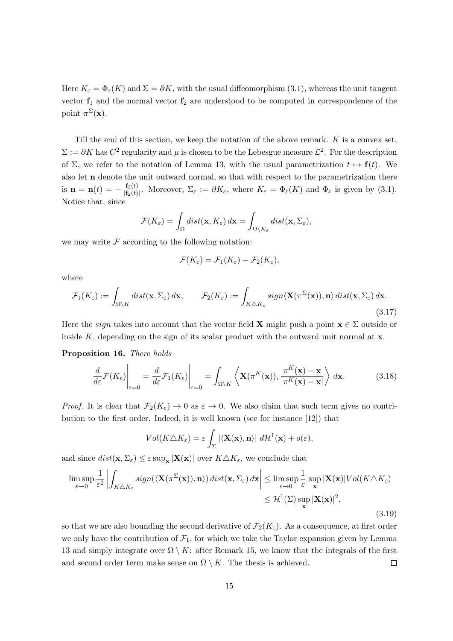Here  $K_{\varepsilon} = \Phi_{\varepsilon}(K)$  and  $\Sigma = \partial K$ , with the usual diffeomorphism (3.1), whereas the unit tangent vector  $f_1$  and the normal vector  $f_2$  are understood to be computed in correspondence of the point  $\pi^{\Sigma}(\mathbf{x})$ .

Till the end of this section, we keep the notation of the above remark.  $K$  is a convex set,  $\Sigma := \partial K$  has  $C^2$  regularity and  $\mu$  is chosen to be the Lebesgue measure  $\mathcal{L}^2$ . For the description of  $\Sigma$ , we refer to the notation of Lemma 13, with the usual parametrization  $t \mapsto f(t)$ . We also let n denote the unit outward normal, so that with respect to the parametrization there is  ${\bf n}={\bf n}(t)=-\frac{{\bf f}_2(t)}{|{\bf f}_2(t)|}$  $\frac{\mathbf{f}_2(t)}{|\mathbf{f}_2(t)|}$ . Moreover,  $\Sigma_{\varepsilon} := \partial K_{\varepsilon}$ , where  $K_{\varepsilon} = \Phi_{\varepsilon}(K)$  and  $\Phi_{\varepsilon}$  is given by (3.1). Notice that, since

$$
\mathcal{F}(K_{\varepsilon}) = \int_{\Omega} dist(\mathbf{x}, K_{\varepsilon}) d\mathbf{x} = \int_{\Omega \setminus K_{\varepsilon}} dist(\mathbf{x}, \Sigma_{\varepsilon}),
$$

we may write  $\mathcal F$  according to the following notation:

$$
\mathcal{F}(K_{\varepsilon})=\mathcal{F}_1(K_{\varepsilon})-\mathcal{F}_2(K_{\varepsilon}),
$$

where

$$
\mathcal{F}_1(K_{\varepsilon}) := \int_{\Omega \setminus K} dist(\mathbf{x}, \Sigma_{\varepsilon}) d\mathbf{x}, \qquad \mathcal{F}_2(K_{\varepsilon}) := \int_{K \triangle K_{\varepsilon}} sign \langle \mathbf{X}(\pi^{\Sigma}(\mathbf{x})), \mathbf{n} \rangle \, dist(\mathbf{x}, \Sigma_{\varepsilon}) d\mathbf{x}.
$$
\n(3.17)

Here the *sign* takes into account that the vector field **X** might push a point  $\mathbf{x} \in \Sigma$  outside or inside  $K$ , depending on the sign of its scalar product with the outward unit normal at  $x$ .

#### Proposition 16. There holds

$$
\frac{d}{d\varepsilon} \mathcal{F}(K_{\varepsilon})\Big|_{\varepsilon=0} = \frac{d}{d\varepsilon} \mathcal{F}_1(K_{\varepsilon})\Big|_{\varepsilon=0} = \int_{\Omega\backslash K} \left\langle \mathbf{X}(\pi^K(\mathbf{x})), \frac{\pi^K(\mathbf{x}) - \mathbf{x}}{|\pi^K(\mathbf{x}) - \mathbf{x}|} \right\rangle d\mathbf{x}.
$$
 (3.18)

*Proof.* It is clear that  $\mathcal{F}_2(K_\varepsilon) \to 0$  as  $\varepsilon \to 0$ . We also claim that such term gives no contribution to the first order. Indeed, it is well known (see for instance [12]) that

$$
Vol(K \triangle K_{\varepsilon}) = \varepsilon \int_{\Sigma} |\langle \mathbf{X}(\mathbf{x}), \mathbf{n} \rangle| d\mathcal{H}^{1}(\mathbf{x}) + o(\varepsilon),
$$

and since  $dist(\mathbf{x}, \Sigma_{\varepsilon}) \leq \varepsilon \sup_{\mathbf{x}} |\mathbf{X}(\mathbf{x})|$  over  $K \triangle K_{\varepsilon}$ , we conclude that

$$
\limsup_{\varepsilon \to 0} \frac{1}{\varepsilon^2} \left| \int_{K \triangle K_{\varepsilon}} sign(\langle \mathbf{X}(\pi^{\Sigma}(\mathbf{x})), \mathbf{n} \rangle) \, dist(\mathbf{x}, \Sigma_{\varepsilon}) \, d\mathbf{x} \right| \leq \limsup_{\varepsilon \to 0} \frac{1}{\varepsilon} \sup_{\mathbf{x}} |\mathbf{X}(\mathbf{x})| Vol(K \triangle K_{\varepsilon})
$$
\n
$$
\leq \mathcal{H}^1(\Sigma) \sup_{\mathbf{x}} |\mathbf{X}(\mathbf{x})|^2,
$$
\n(3.19)

so that we are also bounding the second derivative of  $\mathcal{F}_2(K_\varepsilon)$ . As a consequence, at first order we only have the contribution of  $\mathcal{F}_1$ , for which we take the Taylor expansion given by Lemma 13 and simply integrate over  $\Omega \setminus K$ : after Remark 15, we know that the integrals of the first and second order term make sense on  $\Omega \setminus K$ . The thesis is achieved.  $\Box$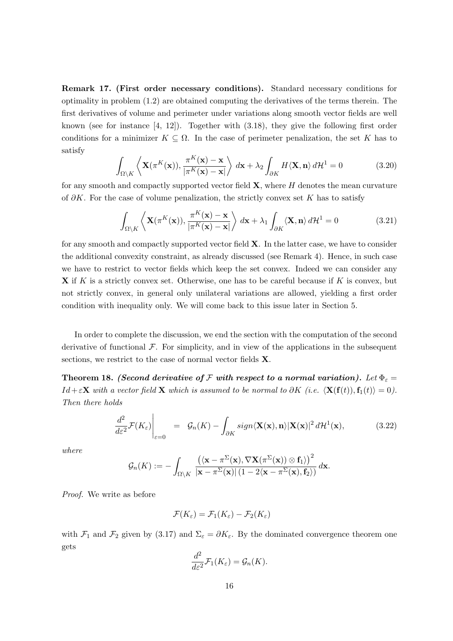Remark 17. (First order necessary conditions). Standard necessary conditions for optimality in problem (1.2) are obtained computing the derivatives of the terms therein. The first derivatives of volume and perimeter under variations along smooth vector fields are well known (see for instance  $[4, 12]$ ). Together with  $(3.18)$ , they give the following first order conditions for a minimizer  $K \subseteq \Omega$ . In the case of perimeter penalization, the set K has to satisfy

$$
\int_{\Omega \setminus K} \left\langle \mathbf{X}(\pi^K(\mathbf{x})), \frac{\pi^K(\mathbf{x}) - \mathbf{x}}{|\pi^K(\mathbf{x}) - \mathbf{x}|} \right\rangle d\mathbf{x} + \lambda_2 \int_{\partial K} H \langle \mathbf{X}, \mathbf{n} \rangle d\mathcal{H}^1 = 0 \tag{3.20}
$$

for any smooth and compactly supported vector field  $X$ , where  $H$  denotes the mean curvature of  $\partial K$ . For the case of volume penalization, the strictly convex set K has to satisfy

$$
\int_{\Omega\backslash K} \left\langle \mathbf{X}(\pi^K(\mathbf{x})), \frac{\pi^K(\mathbf{x}) - \mathbf{x}}{|\pi^K(\mathbf{x}) - \mathbf{x}|} \right\rangle d\mathbf{x} + \lambda_1 \int_{\partial K} \langle \mathbf{X}, \mathbf{n} \rangle d\mathcal{H}^1 = 0 \tag{3.21}
$$

for any smooth and compactly supported vector field  $X$ . In the latter case, we have to consider the additional convexity constraint, as already discussed (see Remark 4). Hence, in such case we have to restrict to vector fields which keep the set convex. Indeed we can consider any  $X$  if K is a strictly convex set. Otherwise, one has to be careful because if K is convex, but not strictly convex, in general only unilateral variations are allowed, yielding a first order condition with inequality only. We will come back to this issue later in Section 5.

In order to complete the discussion, we end the section with the computation of the second derivative of functional  $\mathcal F$ . For simplicity, and in view of the applications in the subsequent sections, we restrict to the case of normal vector fields **X**.

Theorem 18. (Second derivative of F with respect to a normal variation). Let  $\Phi_{\varepsilon} =$  $Id + \varepsilon \mathbf{X}$  with a vector field  $\mathbf{X}$  which is assumed to be normal to  $\partial K$  (i.e.  $\langle \mathbf{X}(\mathbf{f}(t)),\mathbf{f}_1(t)\rangle = 0$ ). Then there holds

$$
\left. \frac{d^2}{d\varepsilon^2} \mathcal{F}(K_{\varepsilon}) \right|_{\varepsilon=0} = \left. \mathcal{G}_n(K) - \int_{\partial K} sign \langle \mathbf{X}(\mathbf{x}), \mathbf{n} \rangle |\mathbf{X}(\mathbf{x})|^2 d\mathcal{H}^1(\mathbf{x}), \tag{3.22}
$$

where

$$
\mathcal{G}_n(K) := -\int_{\Omega \setminus K} \frac{\left( \langle \mathbf{x} - \pi^\Sigma(\mathbf{x}), \nabla \mathbf{X}(\pi^\Sigma(\mathbf{x})) \otimes \mathbf{f}_1 \rangle \right)^2}{|\mathbf{x} - \pi^\Sigma(\mathbf{x})| (1 - 2 \langle \mathbf{x} - \pi^\Sigma(\mathbf{x}), \mathbf{f}_2 \rangle)} d\mathbf{x}.
$$

Proof. We write as before

$$
\mathcal{F}(K_{\varepsilon})=\mathcal{F}_1(K_{\varepsilon})-\mathcal{F}_2(K_{\varepsilon})
$$

with  $\mathcal{F}_1$  and  $\mathcal{F}_2$  given by (3.17) and  $\Sigma_{\varepsilon} = \partial K_{\varepsilon}$ . By the dominated convergence theorem one gets

$$
\frac{d^2}{d\varepsilon^2}\mathcal{F}_1(K_{\varepsilon})=\mathcal{G}_n(K).
$$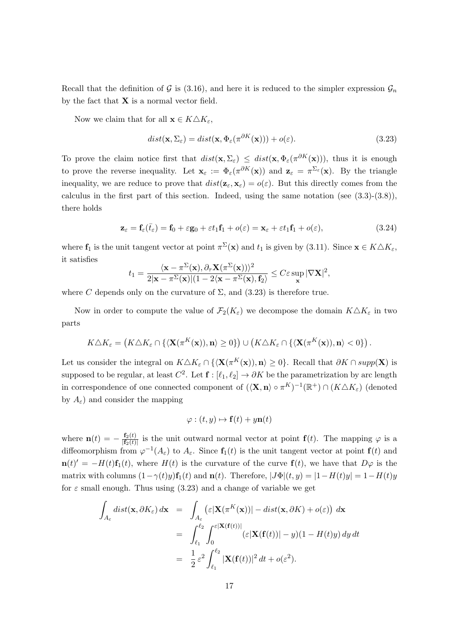Recall that the definition of G is (3.16), and here it is reduced to the simpler expression  $\mathcal{G}_n$ by the fact that  $X$  is a normal vector field.

Now we claim that for all  $\mathbf{x} \in K \triangle K_{\varepsilon}$ ,

$$
dist(\mathbf{x}, \Sigma_{\varepsilon}) = dist(\mathbf{x}, \Phi_{\varepsilon}(\pi^{\partial K}(\mathbf{x}))) + o(\varepsilon).
$$
\n(3.23)

To prove the claim notice first that  $dist(\mathbf{x}, \Sigma_{\varepsilon}) \leq dist(\mathbf{x}, \Phi_{\varepsilon}(\pi^{\partial K}(\mathbf{x}))),$  thus it is enough to prove the reverse inequality. Let  $\mathbf{x}_{\varepsilon} := \Phi_{\varepsilon}(\pi^{\partial K}(\mathbf{x}))$  and  $\mathbf{z}_{\varepsilon} = \pi^{\Sigma_{\varepsilon}}(\mathbf{x})$ . By the triangle inequality, we are reduce to prove that  $dist(\mathbf{z}_{\varepsilon}, \mathbf{x}_{\varepsilon}) = o(\varepsilon)$ . But this directly comes from the calculus in the first part of this section. Indeed, using the same notation (see  $(3.3)-(3.8)$ ), there holds

$$
\mathbf{z}_{\varepsilon} = \mathbf{f}_{\varepsilon}(\bar{t}_{\varepsilon}) = \mathbf{f}_{0} + \varepsilon \mathbf{g}_{0} + \varepsilon t_{1} \mathbf{f}_{1} + o(\varepsilon) = \mathbf{x}_{\varepsilon} + \varepsilon t_{1} \mathbf{f}_{1} + o(\varepsilon), \tag{3.24}
$$

where  $f_1$  is the unit tangent vector at point  $\pi^{\Sigma}(\mathbf{x})$  and  $t_1$  is given by (3.11). Since  $\mathbf{x} \in K \triangle K_{\varepsilon}$ , it satisfies

$$
t_1 = \frac{\langle \mathbf{x} - \pi^{\Sigma}(\mathbf{x}), \partial_{\tau} \mathbf{X}(\pi^{\Sigma}(\mathbf{x})) \rangle^2}{2|\mathbf{x} - \pi^{\Sigma}(\mathbf{x})|(1 - 2\langle \mathbf{x} - \pi^{\Sigma}(\mathbf{x}), \mathbf{f}_2 \rangle} \leq C\varepsilon \sup_{\mathbf{x}} |\nabla \mathbf{X}|^2,
$$

where C depends only on the curvature of  $\Sigma$ , and  $(3.23)$  is therefore true.

Now in order to compute the value of  $\mathcal{F}_2(K_\varepsilon)$  we decompose the domain  $K\Delta K_\varepsilon$  in two parts

$$
K\triangle K_{\varepsilon} = \left(K\triangle K_{\varepsilon} \cap \{ \langle \mathbf{X}(\pi^K(\mathbf{x})), \mathbf{n} \rangle \ge 0 \} \right) \cup \left(K\triangle K_{\varepsilon} \cap \{ \langle \mathbf{X}(\pi^K(\mathbf{x})), \mathbf{n} \rangle < 0 \} \right).
$$

Let us consider the integral on  $K\Delta K_{\varepsilon} \cap \{(\mathbf{X}(\pi^K(\mathbf{x})), \mathbf{n})\geq 0\}$ . Recall that  $\partial K \cap supp(\mathbf{X})$  is supposed to be regular, at least  $C^2$ . Let  $\mathbf{f} : [\ell_1, \ell_2] \to \partial K$  be the parametrization by arc length in correspondence of one connected component of  $(\langle \mathbf{X}, \mathbf{n} \rangle \circ \pi^K)^{-1}(\mathbb{R}^+) \cap (K \triangle K_{\varepsilon})$  (denoted by  $A_{\varepsilon}$ ) and consider the mapping

$$
\varphi: (t, y) \mapsto \mathbf{f}(t) + y\mathbf{n}(t)
$$

where  $\mathbf{n}(t) = -\frac{\mathbf{f}_2(t)}{|\mathbf{f}_2(t)|}$  $\frac{f_2(t)}{f_2(t)}$  is the unit outward normal vector at point  $f(t)$ . The mapping  $\varphi$  is a diffeomorphism from  $\varphi^{-1}(A_{\varepsilon})$  to  $A_{\varepsilon}$ . Since  $f_1(t)$  is the unit tangent vector at point  $f(t)$  and  $\mathbf{n}(t)' = -H(t)\mathbf{f}_1(t)$ , where  $H(t)$  is the curvature of the curve  $\mathbf{f}(t)$ , we have that  $D\varphi$  is the matrix with columns  $(1-\gamma(t)y)$ f<sub>1</sub>(t) and **n**(t). Therefore,  $|J\Phi|(t, y) = |1 - H(t)y| = 1 - H(t)y$ for  $\varepsilon$  small enough. Thus using (3.23) and a change of variable we get

$$
\int_{A_{\varepsilon}} dist(\mathbf{x}, \partial K_{\varepsilon}) d\mathbf{x} = \int_{A_{\varepsilon}} (\varepsilon |\mathbf{X}(\pi^K(\mathbf{x}))| - dist(\mathbf{x}, \partial K) + o(\varepsilon)) d\mathbf{x}
$$
  
\n
$$
= \int_{\ell_1}^{\ell_2} \int_0^{\varepsilon |\mathbf{X}(\mathbf{f}(t))|} (\varepsilon |\mathbf{X}(\mathbf{f}(t))| - y)(1 - H(t)y) dy dt
$$
  
\n
$$
= \frac{1}{2} \varepsilon^2 \int_{\ell_1}^{\ell_2} |\mathbf{X}(\mathbf{f}(t))|^2 dt + o(\varepsilon^2).
$$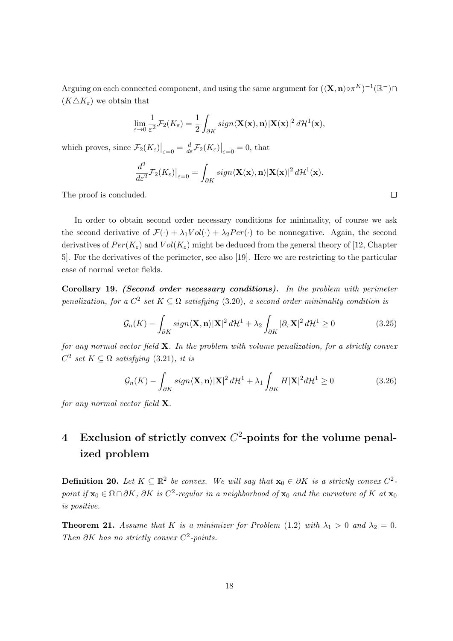Arguing on each connected component, and using the same argument for  $(\langle \mathbf{X}, \mathbf{n} \rangle \circ \pi^K)^{-1}(\mathbb{R}^-) \cap$  $(K \triangle K_{\varepsilon})$  we obtain that

$$
\lim_{\varepsilon \to 0} \frac{1}{\varepsilon^2} \mathcal{F}_2(K_{\varepsilon}) = \frac{1}{2} \int_{\partial K} sign \langle \mathbf{X}(\mathbf{x}), \mathbf{n} \rangle |\mathbf{X}(\mathbf{x})|^2 d\mathcal{H}^1(\mathbf{x}),
$$

which proves, since  $\mathcal{F}_2(K_{\varepsilon})\big|_{\varepsilon=0} = \frac{d}{d\varepsilon} \mathcal{F}_2(K_{\varepsilon})\big|_{\varepsilon=0} = 0$ , that

$$
\frac{d^2}{d\varepsilon^2} \mathcal{F}_2(K_{\varepsilon})\big|_{\varepsilon=0} = \int_{\partial K} sign \langle \mathbf{X}(\mathbf{x}), \mathbf{n} \rangle |\mathbf{X}(\mathbf{x})|^2 d\mathcal{H}^1(\mathbf{x}).
$$

The proof is concluded.

In order to obtain second order necessary conditions for minimality, of course we ask the second derivative of  $\mathcal{F}(\cdot) + \lambda_1 Vol(\cdot) + \lambda_2 Per(\cdot)$  to be nonnegative. Again, the second derivatives of  $Per(K_{\varepsilon})$  and  $Vol(K_{\varepsilon})$  might be deduced from the general theory of [12, Chapter 5]. For the derivatives of the perimeter, see also [19]. Here we are restricting to the particular case of normal vector fields.

Corollary 19. (Second order necessary conditions). In the problem with perimeter penalization, for a  $C^2$  set  $K \subseteq \Omega$  satisfying (3.20), a second order minimality condition is

$$
\mathcal{G}_n(K) - \int_{\partial K} sign \langle \mathbf{X}, \mathbf{n} \rangle |\mathbf{X}|^2 d\mathcal{H}^1 + \lambda_2 \int_{\partial K} |\partial_\tau \mathbf{X}|^2 d\mathcal{H}^1 \ge 0 \tag{3.25}
$$

for any normal vector field  $X$ . In the problem with volume penalization, for a strictly convex  $C^2$  set  $K \subseteq \Omega$  satisfying (3.21), it is

$$
\mathcal{G}_n(K) - \int_{\partial K} sign \langle \mathbf{X}, \mathbf{n} \rangle |\mathbf{X}|^2 d\mathcal{H}^1 + \lambda_1 \int_{\partial K} H |\mathbf{X}|^2 d\mathcal{H}^1 \ge 0 \tag{3.26}
$$

for any normal vector field  $X$ .

# 4 Exclusion of strictly convex  $C^2$ -points for the volume penalized problem

**Definition 20.** Let  $K \subseteq \mathbb{R}^2$  be convex. We will say that  $\mathbf{x}_0 \in \partial K$  is a strictly convex  $C^2$ point if  $\mathbf{x}_0 \in \Omega \cap \partial K$ ,  $\partial K$  is  $C^2$ -regular in a neighborhood of  $\mathbf{x}_0$  and the curvature of K at  $\mathbf{x}_0$ is positive.

**Theorem 21.** Assume that K is a minimizer for Problem (1.2) with  $\lambda_1 > 0$  and  $\lambda_2 = 0$ . Then  $\partial K$  has no strictly convex  $C^2$ -points.

 $\Box$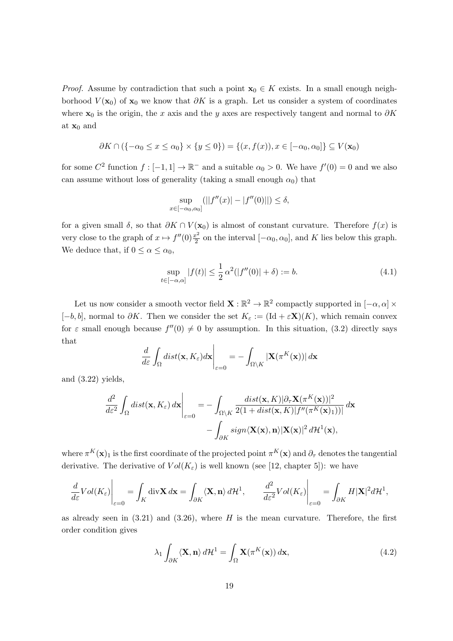*Proof.* Assume by contradiction that such a point  $\mathbf{x}_0 \in K$  exists. In a small enough neighborhood  $V(\mathbf{x}_0)$  of  $\mathbf{x}_0$  we know that  $\partial K$  is a graph. Let us consider a system of coordinates where  $x_0$  is the origin, the x axis and the y axes are respectively tangent and normal to  $\partial K$ at  $\mathbf{x}_0$  and

$$
\partial K \cap (\{-\alpha_0 \le x \le \alpha_0\} \times \{y \le 0\}) = \{(x, f(x)), x \in [-\alpha_0, \alpha_0]\} \subseteq V(\mathbf{x}_0)
$$

for some  $C^2$  function  $f: [-1,1] \to \mathbb{R}^-$  and a suitable  $\alpha_0 > 0$ . We have  $f'(0) = 0$  and we also can assume without loss of generality (taking a small enough  $\alpha_0$ ) that

$$
\sup_{x \in [-\alpha_0, \alpha_0]} (||f''(x)| - |f''(0)||) \le \delta,
$$

for a given small  $\delta$ , so that  $\partial K \cap V(\mathbf{x}_0)$  is almost of constant curvature. Therefore  $f(x)$  is very close to the graph of  $x \mapsto f''(0) \frac{x^2}{2}$  $\frac{c^2}{2}$  on the interval  $[-\alpha_0, \alpha_0]$ , and K lies below this graph. We deduce that, if  $0 \leq \alpha \leq \alpha_0$ ,

$$
\sup_{t \in [-\alpha, \alpha]} |f(t)| \le \frac{1}{2} \alpha^2 (|f''(0)| + \delta) := b. \tag{4.1}
$$

Let us now consider a smooth vector field  $\mathbf{X} : \mathbb{R}^2 \to \mathbb{R}^2$  compactly supported in  $[-\alpha, \alpha] \times$  $[-b, b]$ , normal to  $\partial K$ . Then we consider the set  $K_{\varepsilon} := (\text{Id} + \varepsilon \mathbf{X})(K)$ , which remain convex for  $\varepsilon$  small enough because  $f''(0) \neq 0$  by assumption. In this situation, (3.2) directly says that

$$
\frac{d}{d\varepsilon} \int_{\Omega} dist(\mathbf{x}, K_{\varepsilon}) d\mathbf{x} \bigg|_{\varepsilon=0} = - \int_{\Omega \setminus K} |\mathbf{X}(\pi^K(\mathbf{x}))| d\mathbf{x}
$$

and (3.22) yields,

$$
\frac{d^2}{d\varepsilon^2} \int_{\Omega} dist(\mathbf{x}, K_{\varepsilon}) d\mathbf{x} \Big|_{\varepsilon=0} = -\int_{\Omega \setminus K} \frac{dist(\mathbf{x}, K) |\partial_{\tau} \mathbf{X}(\pi^K(\mathbf{x}))|^2}{2(1+dist(\mathbf{x}, K)|f''(\pi^K(\mathbf{x})_1))|} d\mathbf{x} -\int_{\partial K} sign \langle \mathbf{X}(\mathbf{x}), \mathbf{n} \rangle |\mathbf{X}(\mathbf{x})|^2 d\mathcal{H}^1(\mathbf{x}),
$$

where  $\pi^K(\mathbf{x})_1$  is the first coordinate of the projected point  $\pi^K(\mathbf{x})$  and  $\partial_\tau$  denotes the tangential derivative. The derivative of  $Vol(K_{\varepsilon})$  is well known (see [12, chapter 5]): we have

$$
\frac{d}{d\varepsilon} Vol(K_{\varepsilon}) \Big|_{\varepsilon=0} = \int_{K} \text{div} \mathbf{X} d\mathbf{x} = \int_{\partial K} \langle \mathbf{X}, \mathbf{n} \rangle d\mathcal{H}^{1}, \qquad \frac{d^{2}}{d\varepsilon^{2}} Vol(K_{\varepsilon}) \Big|_{\varepsilon=0} = \int_{\partial K} H|\mathbf{X}|^{2} d\mathcal{H}^{1},
$$

as already seen in  $(3.21)$  and  $(3.26)$ , where H is the mean curvature. Therefore, the first order condition gives

$$
\lambda_1 \int_{\partial K} \langle \mathbf{X}, \mathbf{n} \rangle d\mathcal{H}^1 = \int_{\Omega} \mathbf{X}(\pi^K(\mathbf{x})) d\mathbf{x},\tag{4.2}
$$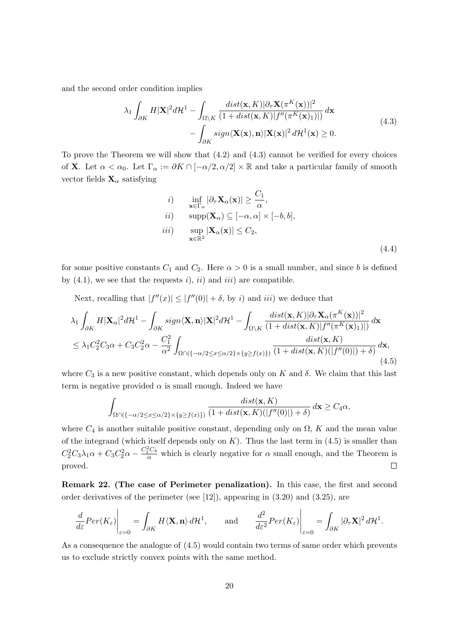and the second order condition implies

$$
\lambda_1 \int_{\partial K} H|\mathbf{X}|^2 d\mathcal{H}^1 - \int_{\Omega \backslash K} \frac{dist(\mathbf{x}, K) |\partial_\tau \mathbf{X}(\pi^K(\mathbf{x}))|^2}{(1 + dist(\mathbf{x}, K)|f''(\pi^K(\mathbf{x})_1)|)} d\mathbf{x} -\int_{\partial K} sign \langle \mathbf{X}(\mathbf{x}), \mathbf{n} \rangle |\mathbf{X}(\mathbf{x})|^2 d\mathcal{H}^1(\mathbf{x}) \ge 0.
$$
\n(4.3)

To prove the Theorem we will show that  $(4.2)$  and  $(4.3)$  cannot be verified for every choices of **X**. Let  $\alpha < \alpha_0$ . Let  $\Gamma_{\alpha} := \partial K \cap [-\alpha/2, \alpha/2] \times \mathbb{R}$  and take a particular family of smooth vector fields  $\mathbf{X}_{\alpha}$  satisfying

*i*) 
$$
\inf_{\mathbf{x} \in \Gamma_{\alpha}} |\partial_{\tau} \mathbf{X}_{\alpha}(\mathbf{x})| \geq \frac{C_1}{\alpha},
$$
  
\n*ii*) 
$$
\sup_{\mathbf{x} \in \mathbb{R}^2} |\mathbf{X}_{\alpha}(\mathbf{x})| \leq [-\alpha, \alpha] \times [-b, b],
$$
  
\n*iii*) 
$$
\sup_{\mathbf{x} \in \mathbb{R}^2} |\mathbf{X}_{\alpha}(\mathbf{x})| \leq C_2,
$$
\n(4.4)

for some positive constants  $C_1$  and  $C_2$ . Here  $\alpha > 0$  is a small number, and since b is defined by  $(4.1)$ , we see that the requests i), ii) and iii) are compatible.

Next, recalling that  $|f''(x)| \leq |f''(0)| + \delta$ , by i) and iii) we deduce that

$$
\lambda_1 \int_{\partial K} H|\mathbf{X}_{\alpha}|^2 d\mathcal{H}^1 - \int_{\partial K} sign \langle \mathbf{X}, \mathbf{n} \rangle |\mathbf{X}|^2 d\mathcal{H}^1 - \int_{\Omega \setminus K} \frac{dist(\mathbf{x}, K) |\partial_\tau \mathbf{X}_{\alpha}(\pi^K(\mathbf{x}))|^2}{(1 + dist(\mathbf{x}, K)) |f''(\pi^K(\mathbf{x})_1)|)} d\mathbf{x} \n\leq \lambda_1 C_2^2 C_3 \alpha + C_3 C_2^2 \alpha - \frac{C_1^2}{\alpha^2} \int_{\Omega \cap \{ -\alpha/2 \leq x \leq \alpha/2 \} \times \{ y \geq f(x) \} } \frac{dist(\mathbf{x}, K)}{(1 + dist(\mathbf{x}, K)(|f''(0)|) + \delta)} d\mathbf{x},
$$
\n(4.5)

where  $C_3$  is a new positive constant, which depends only on K and  $\delta$ . We claim that this last term is negative provided  $\alpha$  is small enough. Indeed we have

$$
\int_{\Omega \cap (\{-\alpha/2 \le x \le \alpha/2\} \times \{y \ge f(x)\})} \frac{dist(\mathbf{x}, K)}{(1 + dist(\mathbf{x}, K)(|f''(0)|) + \delta)} d\mathbf{x} \ge C_4 \alpha,
$$

where  $C_4$  is another suitable positive constant, depending only on  $\Omega$ , K and the mean value of the integrand (which itself depends only on  $K$ ). Thus the last term in (4.5) is smaller than  $C_2^2C_3\lambda_1\alpha + C_3C_2^2\alpha - \frac{C_1^2C_4}{\alpha}$  which is clearly negative for  $\alpha$  small enough, and the Theorem is proved.  $\Box$ 

Remark 22. (The case of Perimeter penalization). In this case, the first and second order derivatives of the perimeter (see [12]), appearing in (3.20) and (3.25), are

$$
\frac{d}{d\varepsilon}Per(K_{\varepsilon})\Big|_{\varepsilon=0} = \int_{\partial K} H\langle \mathbf{X}, \mathbf{n}\rangle d\mathcal{H}^1, \quad \text{and} \quad \frac{d^2}{d\varepsilon^2}Per(K_{\varepsilon})\Big|_{\varepsilon=0} = \int_{\partial K} |\partial_{\tau} \mathbf{X}|^2 d\mathcal{H}^1.
$$

As a consequence the analogue of (4.5) would contain two terms of same order which prevents us to exclude strictly convex points with the same method.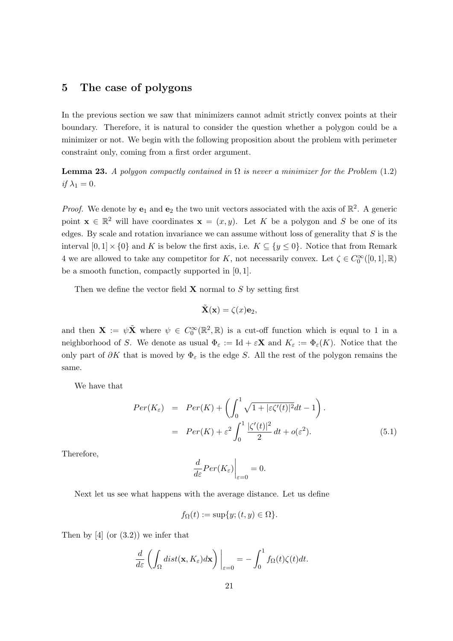## 5 The case of polygons

In the previous section we saw that minimizers cannot admit strictly convex points at their boundary. Therefore, it is natural to consider the question whether a polygon could be a minimizer or not. We begin with the following proposition about the problem with perimeter constraint only, coming from a first order argument.

**Lemma 23.** A polygon compactly contained in  $\Omega$  is never a minimizer for the Problem (1.2) if  $\lambda_1 = 0$ .

*Proof.* We denote by  $e_1$  and  $e_2$  the two unit vectors associated with the axis of  $\mathbb{R}^2$ . A generic point  $\mathbf{x} \in \mathbb{R}^2$  will have coordinates  $\mathbf{x} = (x, y)$ . Let K be a polygon and S be one of its edges. By scale and rotation invariance we can assume without loss of generality that  $S$  is the interval  $[0,1] \times \{0\}$  and K is below the first axis, i.e.  $K \subseteq \{y \le 0\}$ . Notice that from Remark 4 we are allowed to take any competitor for K, not necessarily convex. Let  $\zeta \in C_0^{\infty}([0,1], \mathbb{R})$ be a smooth function, compactly supported in [0, 1].

Then we define the vector field  $X$  normal to  $S$  by setting first

$$
\tilde{\mathbf{X}}(\mathbf{x}) = \zeta(x)\mathbf{e}_2,
$$

and then  $\mathbf{X} := \psi \tilde{\mathbf{X}}$  where  $\psi \in C_0^{\infty}(\mathbb{R}^2, \mathbb{R})$  is a cut-off function which is equal to 1 in a neighborhood of S. We denote as usual  $\Phi_{\varepsilon} := \mathrm{Id} + \varepsilon \mathbf{X}$  and  $K_{\varepsilon} := \Phi_{\varepsilon}(K)$ . Notice that the only part of  $\partial K$  that is moved by  $\Phi_{\varepsilon}$  is the edge S. All the rest of the polygon remains the same.

We have that

$$
Per(K_{\varepsilon}) = Per(K) + \left(\int_0^1 \sqrt{1+|\varepsilon\zeta'(t)|^2}dt - 1\right).
$$
  
=  $Per(K) + \varepsilon^2 \int_0^1 \frac{|\zeta'(t)|^2}{2}dt + o(\varepsilon^2).$  (5.1)

Therefore,

$$
\left. \frac{d}{d\varepsilon} Per(K_{\varepsilon}) \right|_{\varepsilon=0} = 0.
$$

Next let us see what happens with the average distance. Let us define

$$
f_{\Omega}(t) := \sup\{y; (t, y) \in \Omega\}.
$$

Then by  $[4]$  (or  $(3.2)$ ) we infer that

$$
\frac{d}{d\varepsilon} \left( \int_{\Omega} dist(\mathbf{x}, K_{\varepsilon}) d\mathbf{x} \right) \bigg|_{\varepsilon=0} = - \int_{0}^{1} f_{\Omega}(t) \zeta(t) dt.
$$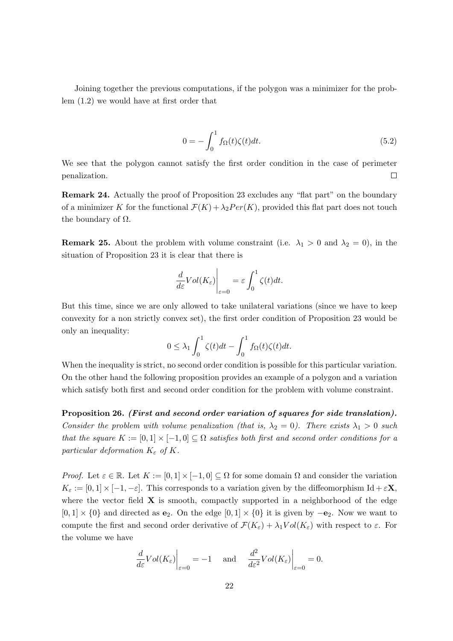Joining together the previous computations, if the polygon was a minimizer for the problem (1.2) we would have at first order that

$$
0 = -\int_0^1 f_{\Omega}(t)\zeta(t)dt.
$$
\n(5.2)

We see that the polygon cannot satisfy the first order condition in the case of perimeter penalization.  $\Box$ 

Remark 24. Actually the proof of Proposition 23 excludes any "flat part" on the boundary of a minimizer K for the functional  $\mathcal{F}(K) + \lambda_2 Per(K)$ , provided this flat part does not touch the boundary of  $\Omega$ .

**Remark 25.** About the problem with volume constraint (i.e.  $\lambda_1 > 0$  and  $\lambda_2 = 0$ ), in the situation of Proposition 23 it is clear that there is

$$
\left. \frac{d}{d\varepsilon} Vol(K_{\varepsilon}) \right|_{\varepsilon=0} = \varepsilon \int_0^1 \zeta(t) dt.
$$

But this time, since we are only allowed to take unilateral variations (since we have to keep convexity for a non strictly convex set), the first order condition of Proposition 23 would be only an inequality:

$$
0 \leq \lambda_1 \int_0^1 \zeta(t)dt - \int_0^1 f_{\Omega}(t)\zeta(t)dt.
$$

When the inequality is strict, no second order condition is possible for this particular variation. On the other hand the following proposition provides an example of a polygon and a variation which satisfy both first and second order condition for the problem with volume constraint.

Proposition 26. (First and second order variation of squares for side translation). Consider the problem with volume penalization (that is,  $\lambda_2 = 0$ ). There exists  $\lambda_1 > 0$  such that the square  $K := [0,1] \times [-1,0] \subseteq \Omega$  satisfies both first and second order conditions for a particular deformation  $K_{\varepsilon}$  of K.

Proof. Let  $\varepsilon \in \mathbb{R}$ . Let  $K := [0, 1] \times [-1, 0] \subseteq \Omega$  for some domain  $\Omega$  and consider the variation  $K_{\varepsilon} := [0, 1] \times [-1, -\varepsilon]$ . This corresponds to a variation given by the diffeomorphism Id +  $\varepsilon \mathbf{X}$ , where the vector field  $X$  is smooth, compactly supported in a neighborhood of the edge  $[0, 1] \times \{0\}$  and directed as **e**<sub>2</sub>. On the edge  $[0, 1] \times \{0\}$  it is given by  $-\mathbf{e}_2$ . Now we want to compute the first and second order derivative of  $\mathcal{F}(K_{\varepsilon}) + \lambda_1 Vol(K_{\varepsilon})$  with respect to  $\varepsilon$ . For the volume we have

$$
\left. \frac{d}{d\varepsilon} Vol(K_{\varepsilon}) \right|_{\varepsilon=0} = -1 \quad \text{and} \quad \left. \frac{d^2}{d\varepsilon^2} Vol(K_{\varepsilon}) \right|_{\varepsilon=0} = 0.
$$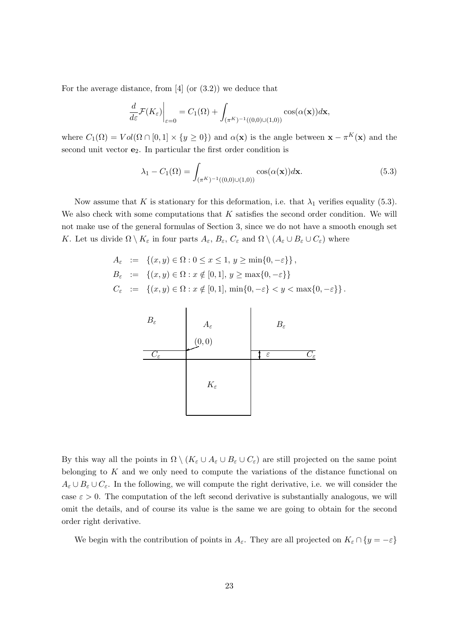For the average distance, from  $[4]$  (or  $(3.2)$ ) we deduce that

$$
\left. \frac{d}{d\varepsilon} \mathcal{F}(K_{\varepsilon}) \right|_{\varepsilon=0} = C_1(\Omega) + \int_{(\pi^K)^{-1}((0,0)\cup(1,0))} \cos(\alpha(\mathbf{x}))d\mathbf{x},
$$

where  $C_1(\Omega) = Vol(\Omega \cap [0,1] \times \{y \ge 0\})$  and  $\alpha(\mathbf{x})$  is the angle between  $\mathbf{x} - \pi^K(\mathbf{x})$  and the second unit vector  $e_2$ . In particular the first order condition is

$$
\lambda_1 - C_1(\Omega) = \int_{(\pi^K)^{-1}((0,0)\cup(1,0))} \cos(\alpha(\mathbf{x}))d\mathbf{x}.\tag{5.3}
$$

Now assume that K is stationary for this deformation, i.e. that  $\lambda_1$  verifies equality (5.3). We also check with some computations that  $K$  satisfies the second order condition. We will not make use of the general formulas of Section 3, since we do not have a smooth enough set K. Let us divide  $\Omega \setminus K_{\varepsilon}$  in four parts  $A_{\varepsilon}$ ,  $B_{\varepsilon}$ ,  $C_{\varepsilon}$  and  $\Omega \setminus (A_{\varepsilon} \cup B_{\varepsilon} \cup C_{\varepsilon})$  where

$$
A_{\varepsilon} := \left\{ (x, y) \in \Omega : 0 \le x \le 1, y \ge \min\{0, -\varepsilon\} \right\},
$$
  
\n
$$
B_{\varepsilon} := \left\{ (x, y) \in \Omega : x \notin [0, 1], y \ge \max\{0, -\varepsilon\} \right\}
$$
  
\n
$$
C_{\varepsilon} := \left\{ (x, y) \in \Omega : x \notin [0, 1], \min\{0, -\varepsilon\} < y < \max\{0, -\varepsilon\} \right\}.
$$



By this way all the points in  $\Omega \setminus (K_{\varepsilon} \cup A_{\varepsilon} \cup B_{\varepsilon} \cup C_{\varepsilon})$  are still projected on the same point belonging to  $K$  and we only need to compute the variations of the distance functional on  $A_\varepsilon \cup B_\varepsilon \cup C_\varepsilon$ . In the following, we will compute the right derivative, i.e. we will consider the case  $\varepsilon > 0$ . The computation of the left second derivative is substantially analogous, we will omit the details, and of course its value is the same we are going to obtain for the second order right derivative.

We begin with the contribution of points in  $A_{\varepsilon}$ . They are all projected on  $K_{\varepsilon} \cap \{y = -\varepsilon\}$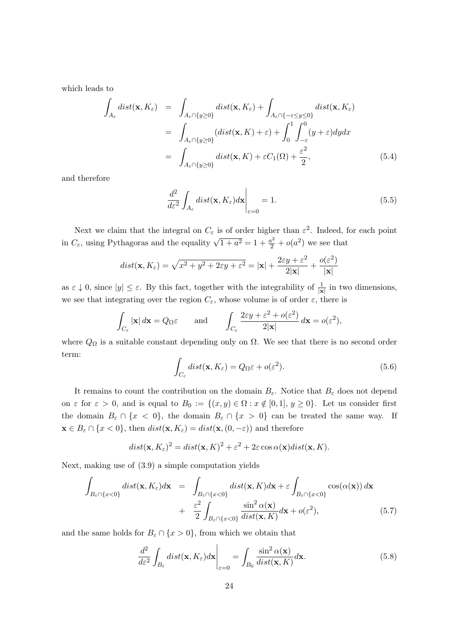which leads to

$$
\int_{A_{\varepsilon}} dist(\mathbf{x}, K_{\varepsilon}) = \int_{A_{\varepsilon} \cap \{y \ge 0\}} dist(\mathbf{x}, K_{\varepsilon}) + \int_{A_{\varepsilon} \cap \{-\varepsilon \le y \le 0\}} dist(\mathbf{x}, K_{\varepsilon})
$$
\n
$$
= \int_{A_{\varepsilon} \cap \{y \ge 0\}} (dist(\mathbf{x}, K) + \varepsilon) + \int_{0}^{1} \int_{-\varepsilon}^{0} (y + \varepsilon) dy dx
$$
\n
$$
= \int_{A_{\varepsilon} \cap \{y \ge 0\}} dist(\mathbf{x}, K) + \varepsilon C_{1}(\Omega) + \frac{\varepsilon^{2}}{2},
$$
\n(5.4)

and therefore

$$
\frac{d^2}{d\varepsilon^2} \int_{A_\varepsilon} dist(\mathbf{x}, K_\varepsilon) d\mathbf{x} \bigg|_{\varepsilon=0} = 1.
$$
\n(5.5)

Next we claim that the integral on  $C_{\varepsilon}$  is of order higher than  $\varepsilon^2$ . Indeed, for each point in  $C_{\varepsilon}$ , using Pythagoras and the equality  $\sqrt{1+a^2} = 1 + \frac{a^2}{2} + o(a^2)$  we see that

$$
dist(\mathbf{x}, K_{\varepsilon}) = \sqrt{x^2 + y^2 + 2\varepsilon y + \varepsilon^2} = |\mathbf{x}| + \frac{2\varepsilon y + \varepsilon^2}{2|\mathbf{x}|} + \frac{o(\varepsilon^2)}{|\mathbf{x}|}
$$

as  $\varepsilon \downarrow 0$ , since  $|y| \leq \varepsilon$ . By this fact, together with the integrability of  $\frac{1}{|x|}$  in two dimensions, we see that integrating over the region  $C_{\varepsilon}$ , whose volume is of order  $\varepsilon$ , there is

$$
\int_{C_{\varepsilon}} |\mathbf{x}| d\mathbf{x} = Q_{\Omega} \varepsilon \quad \text{and} \quad \int_{C_{\varepsilon}} \frac{2\varepsilon y + \varepsilon^2 + o(\varepsilon^2)}{2|\mathbf{x}|} d\mathbf{x} = o(\varepsilon^2),
$$

where  $Q_{\Omega}$  is a suitable constant depending only on  $\Omega$ . We see that there is no second order term:

$$
\int_{C_{\varepsilon}} dist(\mathbf{x}, K_{\varepsilon}) = Q_{\Omega} \varepsilon + o(\varepsilon^2).
$$
\n(5.6)

It remains to count the contribution on the domain  $B_{\varepsilon}$ . Notice that  $B_{\varepsilon}$  does not depend on  $\varepsilon$  for  $\varepsilon > 0$ , and is equal to  $B_0 := \{(x, y) \in \Omega : x \notin [0, 1], y \ge 0\}$ . Let us consider first the domain  $B_\varepsilon \cap \{x < 0\}$ , the domain  $B_\varepsilon \cap \{x > 0\}$  can be treated the same way. If  $\mathbf{x} \in B_{\varepsilon} \cap \{x < 0\}$ , then  $dist(\mathbf{x}, K_{\varepsilon}) = dist(\mathbf{x}, (0, -\varepsilon))$  and therefore

$$
dist(\mathbf{x}, K_{\varepsilon})^2 = dist(\mathbf{x}, K)^2 + \varepsilon^2 + 2\varepsilon \cos \alpha(\mathbf{x}) dist(\mathbf{x}, K).
$$

Next, making use of (3.9) a simple computation yields

$$
\int_{B_{\varepsilon} \cap \{x<0\}} dist(\mathbf{x}, K_{\varepsilon}) d\mathbf{x} = \int_{B_{\varepsilon} \cap \{x<0\}} dist(\mathbf{x}, K) d\mathbf{x} + \varepsilon \int_{B_{\varepsilon} \cap \{x<0\}} cos(\alpha(\mathbf{x})) d\mathbf{x} \n+ \frac{\varepsilon^2}{2} \int_{B_{\varepsilon} \cap \{x<0\}} \frac{\sin^2 \alpha(\mathbf{x})}{dist(\mathbf{x}, K)} d\mathbf{x} + o(\varepsilon^2),
$$
\n(5.7)

and the same holds for  $B_\varepsilon \cap \{x>0\}$ , from which we obtain that

$$
\frac{d^2}{d\varepsilon^2} \int_{B_{\varepsilon}} dist(\mathbf{x}, K_{\varepsilon}) d\mathbf{x} \bigg|_{\varepsilon=0} = \int_{B_0} \frac{\sin^2 \alpha(\mathbf{x})}{dist(\mathbf{x}, K)} d\mathbf{x}.
$$
\n(5.8)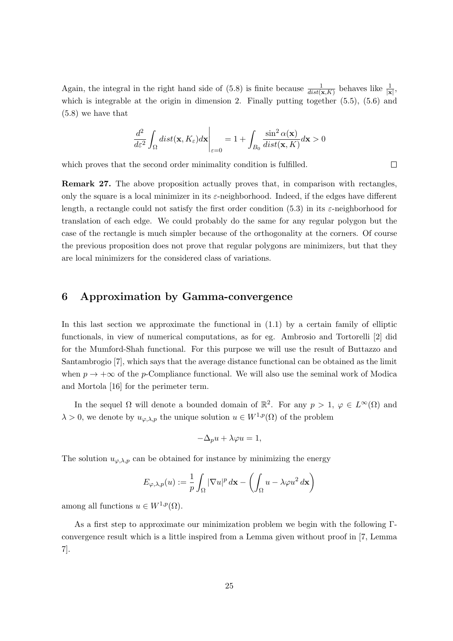Again, the integral in the right hand side of (5.8) is finite because  $\frac{1}{dist(\mathbf{x},K)}$  behaves like  $\frac{1}{|\mathbf{x}|}$ , which is integrable at the origin in dimension 2. Finally putting together  $(5.5)$ ,  $(5.6)$  and (5.8) we have that

$$
\left.\frac{d^2}{d\varepsilon^2}\int_\Omega dist(\mathbf{x},K_\varepsilon)d\mathbf{x}\right|_{\varepsilon=0}=1+\int_{B_0}\frac{\sin^2\alpha(\mathbf{x})}{dist(\mathbf{x},K)}d\mathbf{x}>0
$$

 $\Box$ 

which proves that the second order minimality condition is fulfilled.

Remark 27. The above proposition actually proves that, in comparison with rectangles, only the square is a local minimizer in its  $\varepsilon$ -neighborhood. Indeed, if the edges have different length, a rectangle could not satisfy the first order condition (5.3) in its  $\varepsilon$ -neighborhood for translation of each edge. We could probably do the same for any regular polygon but the case of the rectangle is much simpler because of the orthogonality at the corners. Of course the previous proposition does not prove that regular polygons are minimizers, but that they are local minimizers for the considered class of variations.

## 6 Approximation by Gamma-convergence

In this last section we approximate the functional in  $(1.1)$  by a certain family of elliptic functionals, in view of numerical computations, as for eg. Ambrosio and Tortorelli [2] did for the Mumford-Shah functional. For this purpose we will use the result of Buttazzo and Santambrogio [7], which says that the average distance functional can be obtained as the limit when  $p \to +\infty$  of the p-Compliance functional. We will also use the seminal work of Modica and Mortola [16] for the perimeter term.

In the sequel  $\Omega$  will denote a bounded domain of  $\mathbb{R}^2$ . For any  $p > 1$ ,  $\varphi \in L^{\infty}(\Omega)$  and  $\lambda > 0$ , we denote by  $u_{\varphi,\lambda,p}$  the unique solution  $u \in W^{1,p}(\Omega)$  of the problem

$$
-\Delta_p u + \lambda \varphi u = 1,
$$

The solution  $u_{\varphi,\lambda,p}$  can be obtained for instance by minimizing the energy

$$
E_{\varphi,\lambda,p}(u) := \frac{1}{p} \int_{\Omega} |\nabla u|^p \, d\mathbf{x} - \left( \int_{\Omega} u - \lambda \varphi u^2 \, d\mathbf{x} \right)
$$

among all functions  $u \in W^{1,p}(\Omega)$ .

As a first step to approximate our minimization problem we begin with the following Γconvergence result which is a little inspired from a Lemma given without proof in [7, Lemma 7].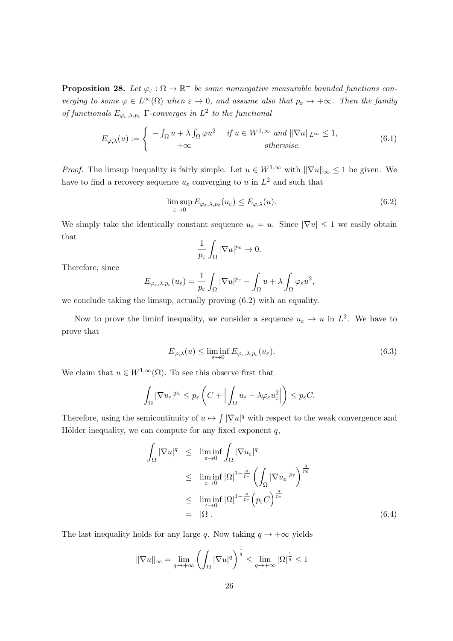**Proposition 28.** Let  $\varphi_{\varepsilon} : \Omega \to \mathbb{R}^+$  be some nonnegative measurable bounded functions converging to some  $\varphi \in L^{\infty}(\Omega)$  when  $\varepsilon \to 0$ , and assume also that  $p_{\varepsilon} \to +\infty$ . Then the family of functionals  $E_{\varphi_{\varepsilon},\lambda,p_{\varepsilon}}$   $\Gamma$ -converges in  $L^2$  to the functional

$$
E_{\varphi,\lambda}(u) := \begin{cases} -\int_{\Omega} u + \lambda \int_{\Omega} \varphi u^2 & \text{if } u \in W^{1,\infty} \text{ and } ||\nabla u||_{L^{\infty}} \le 1, \\ +\infty & \text{otherwise.} \end{cases}
$$
(6.1)

*Proof.* The limsup inequality is fairly simple. Let  $u \in W^{1,\infty}$  with  $\|\nabla u\|_{\infty} \leq 1$  be given. We have to find a recovery sequence  $u_{\varepsilon}$  converging to u in  $L^2$  and such that

$$
\limsup_{\varepsilon \to 0} E_{\varphi_{\varepsilon}, \lambda, p_{\varepsilon}}(u_{\varepsilon}) \le E_{\varphi, \lambda}(u). \tag{6.2}
$$

We simply take the identically constant sequence  $u_{\varepsilon} = u$ . Since  $|\nabla u| \leq 1$  we easily obtain that

$$
\frac{1}{p_{\varepsilon}}\int_{\Omega}|\nabla u|^{p_{\varepsilon}}\to 0.
$$

Therefore, since

$$
E_{\varphi_{\varepsilon},\lambda,p_{\varepsilon}}(u_{\varepsilon})=\frac{1}{p_{\varepsilon}}\int_{\Omega}|\nabla u|^{p_{\varepsilon}}-\int_{\Omega}u+\lambda\int_{\Omega}\varphi_{\varepsilon}u^{2},
$$

we conclude taking the limsup, actually proving (6.2) with an equality.

Now to prove the liminf inequality, we consider a sequence  $u_{\varepsilon} \to u$  in  $L^2$ . We have to prove that

$$
E_{\varphi,\lambda}(u) \le \liminf_{\varepsilon \to 0} E_{\varphi_{\varepsilon},\lambda,p_{\varepsilon}}(u_{\varepsilon}).
$$
\n(6.3)

We claim that  $u \in W^{1,\infty}(\Omega)$ . To see this observe first that

$$
\int_{\Omega} |\nabla u_{\varepsilon}|^{p_{\varepsilon}} \leq p_{\varepsilon} \left( C + \Big| \int_{\Omega} u_{\varepsilon} - \lambda \varphi_{\varepsilon} u_{\varepsilon}^2 \Big| \right) \leq p_{\varepsilon} C.
$$

Therefore, using the semicontinuity of  $u \mapsto \int |\nabla u|^q$  with respect to the weak convergence and Hölder inequality, we can compute for any fixed exponent  $q$ ,

$$
\int_{\Omega} |\nabla u|^q \leq \liminf_{\varepsilon \to 0} \int_{\Omega} |\nabla u_{\varepsilon}|^q
$$
\n
$$
\leq \liminf_{\varepsilon \to 0} |\Omega|^{1 - \frac{q}{p_{\varepsilon}}} \left( \int_{\Omega} |\nabla u_{\varepsilon}|^{p_{\varepsilon}} \right)^{\frac{q}{p_{\varepsilon}}}
$$
\n
$$
\leq \liminf_{\varepsilon \to 0} |\Omega|^{1 - \frac{q}{p_{\varepsilon}}} \left( p_{\varepsilon} C \right)^{\frac{q}{p_{\varepsilon}}}
$$
\n
$$
= |\Omega|.
$$
\n(6.4)

The last inequality holds for any large q. Now taking  $q \to +\infty$  yields

$$
\|\nabla u\|_{\infty} = \lim_{q \to +\infty} \left( \int_{\Omega} |\nabla u|^q \right)^{\frac{1}{q}} \le \lim_{q \to +\infty} |\Omega|^{\frac{1}{q}} \le 1
$$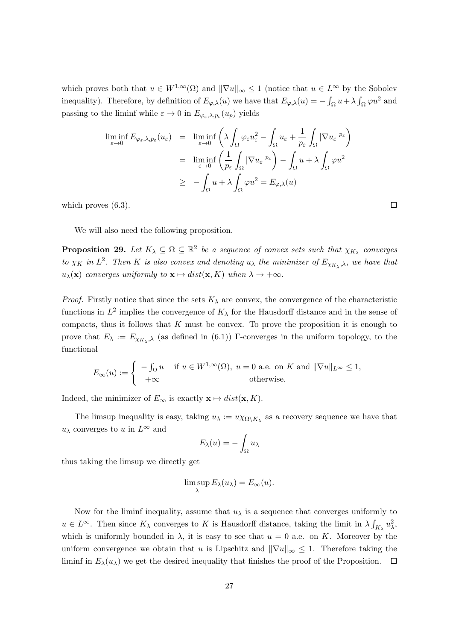which proves both that  $u \in W^{1,\infty}(\Omega)$  and  $\|\nabla u\|_{\infty} \leq 1$  (notice that  $u \in L^{\infty}$  by the Sobolev inequality). Therefore, by definition of  $E_{\varphi,\lambda}(u)$  we have that  $E_{\varphi,\lambda}(u) = -\int_{\Omega} u + \lambda \int_{\Omega} \varphi u^2$  and passing to the liminf while  $\varepsilon \to 0$  in  $E_{\varphi_{\varepsilon},\lambda,p_{\varepsilon}}(u_p)$  yields

$$
\liminf_{\varepsilon \to 0} E_{\varphi_{\varepsilon}, \lambda, p_{\varepsilon}}(u_{\varepsilon}) = \liminf_{\varepsilon \to 0} \left( \lambda \int_{\Omega} \varphi_{\varepsilon} u_{\varepsilon}^{2} - \int_{\Omega} u_{\varepsilon} + \frac{1}{p_{\varepsilon}} \int_{\Omega} |\nabla u_{\varepsilon}|^{p_{\varepsilon}} \right)
$$
\n
$$
= \liminf_{\varepsilon \to 0} \left( \frac{1}{p_{\varepsilon}} \int_{\Omega} |\nabla u_{\varepsilon}|^{p_{\varepsilon}} \right) - \int_{\Omega} u + \lambda \int_{\Omega} \varphi u^{2}
$$
\n
$$
\geq - \int_{\Omega} u + \lambda \int_{\Omega} \varphi u^{2} = E_{\varphi, \lambda}(u)
$$

which proves  $(6.3)$ .

We will also need the following proposition.

**Proposition 29.** Let  $K_{\lambda} \subseteq \Omega \subseteq \mathbb{R}^2$  be a sequence of convex sets such that  $\chi_{K_{\lambda}}$  converges to  $\chi_K$  in  $L^2$ . Then K is also convex and denoting  $u_\lambda$  the minimizer of  $E_{\chi_{K_\lambda},\lambda}$ , we have that  $u_{\lambda}(\mathbf{x})$  converges uniformly to  $\mathbf{x} \mapsto dist(\mathbf{x}, K)$  when  $\lambda \to +\infty$ .

*Proof.* Firstly notice that since the sets  $K_{\lambda}$  are convex, the convergence of the characteristic functions in  $L^2$  implies the convergence of  $K_\lambda$  for the Hausdorff distance and in the sense of compacts, thus it follows that  $K$  must be convex. To prove the proposition it is enough to prove that  $E_{\lambda} := E_{\chi_{K_{\lambda}},\lambda}$  (as defined in (6.1)) Γ-converges in the uniform topology, to the functional

$$
E_{\infty}(u) := \begin{cases} -\int_{\Omega} u & \text{if } u \in W^{1,\infty}(\Omega), \ u = 0 \text{ a.e. on } K \text{ and } ||\nabla u||_{L^{\infty}} \le 1, \\ +\infty & \text{otherwise.} \end{cases}
$$

Indeed, the minimizer of  $E_{\infty}$  is exactly  $\mathbf{x} \mapsto dist(\mathbf{x}, K)$ .

The limsup inequality is easy, taking  $u_{\lambda} := u \chi_{\Omega \setminus K_{\lambda}}$  as a recovery sequence we have that  $u_\lambda$  converges to u in  $L^\infty$  and

$$
E_{\lambda}(u) = -\int_{\Omega} u_{\lambda}
$$

thus taking the limsup we directly get

$$
\limsup_{\lambda} E_{\lambda}(u_{\lambda}) = E_{\infty}(u).
$$

Now for the liminf inequality, assume that  $u<sub>\lambda</sub>$  is a sequence that converges uniformly to  $u \in L^{\infty}$ . Then since  $K_{\lambda}$  converges to K is Hausdorff distance, taking the limit in  $\lambda \int_{K_{\lambda}} u_{\lambda}^2$ , which is uniformly bounded in  $\lambda$ , it is easy to see that  $u = 0$  a.e. on K. Moreover by the uniform convergence we obtain that u is Lipschitz and  $\|\nabla u\|_{\infty} \leq 1$ . Therefore taking the liminf in  $E_{\lambda}(u_{\lambda})$  we get the desired inequality that finishes the proof of the Proposition.  $\Box$ 

 $\Box$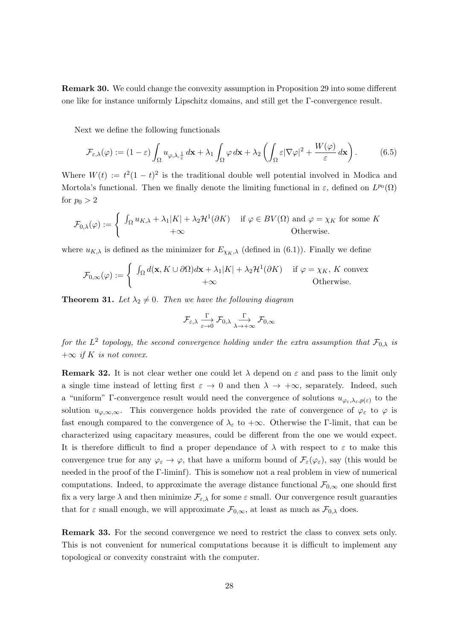Remark 30. We could change the convexity assumption in Proposition 29 into some different one like for instance uniformly Lipschitz domains, and still get the Γ-convergence result.

Next we define the following functionals

$$
\mathcal{F}_{\varepsilon,\lambda}(\varphi) := (1-\varepsilon) \int_{\Omega} u_{\varphi,\lambda,\frac{1}{\varepsilon}} d\mathbf{x} + \lambda_1 \int_{\Omega} \varphi d\mathbf{x} + \lambda_2 \left( \int_{\Omega} \varepsilon |\nabla \varphi|^2 + \frac{W(\varphi)}{\varepsilon} d\mathbf{x} \right). \tag{6.5}
$$

Where  $W(t) := t^2(1-t)^2$  is the traditional double well potential involved in Modica and Mortola's functional. Then we finally denote the limiting functional in  $\varepsilon$ , defined on  $L^{p_0}(\Omega)$ for  $p_0 > 2$ 

$$
\mathcal{F}_{0,\lambda}(\varphi) := \begin{cases} \int_{\Omega} u_{K,\lambda} + \lambda_1 |K| + \lambda_2 \mathcal{H}^1(\partial K) & \text{if } \varphi \in BV(\Omega) \text{ and } \varphi = \chi_K \text{ for some } K \\ +\infty & \text{Otherwise.} \end{cases}
$$

where  $u_{K,\lambda}$  is defined as the minimizer for  $E_{\chi_{K,\lambda}}$  (defined in (6.1)). Finally we define

$$
\mathcal{F}_{0,\infty}(\varphi) := \begin{cases} \int_{\Omega} d(\mathbf{x}, K \cup \partial \Omega) d\mathbf{x} + \lambda_1 |K| + \lambda_2 \mathcal{H}^1(\partial K) & \text{if } \varphi = \chi_K, K \text{ convex} \\ +\infty & \text{Otherwise.} \end{cases}
$$

**Theorem 31.** Let  $\lambda_2 \neq 0$ . Then we have the following diagram

$$
\mathcal{F}_{\varepsilon,\lambda} \xrightarrow[\varepsilon \to 0]{} \mathcal{F}_{0,\lambda} \xrightarrow[\lambda \to +\infty]{} \mathcal{F}_{0,\infty}
$$

for the  $L^2$  topology, the second convergence holding under the extra assumption that  $\mathcal{F}_{0,\lambda}$  is  $+\infty$  if K is not convex.

**Remark 32.** It is not clear wether one could let  $\lambda$  depend on  $\varepsilon$  and pass to the limit only a single time instead of letting first  $\varepsilon \to 0$  and then  $\lambda \to +\infty$ , separately. Indeed, such a "uniform" Γ-convergence result would need the convergence of solutions  $u_{\varphi_\varepsilon,\lambda_\varepsilon,p(\varepsilon)}$  to the solution  $u_{\varphi,\infty,\infty}$ . This convergence holds provided the rate of convergence of  $\varphi_{\varepsilon}$  to  $\varphi$  is fast enough compared to the convergence of  $\lambda_{\varepsilon}$  to  $+\infty$ . Otherwise the Γ-limit, that can be characterized using capacitary measures, could be different from the one we would expect. It is therefore difficult to find a proper dependance of  $\lambda$  with respect to  $\varepsilon$  to make this convergence true for any  $\varphi_{\varepsilon} \to \varphi$ , that have a uniform bound of  $\mathcal{F}_{\varepsilon}(\varphi_{\varepsilon})$ , say (this would be needed in the proof of the Γ-liminf). This is somehow not a real problem in view of numerical computations. Indeed, to approximate the average distance functional  $\mathcal{F}_{0,\infty}$  one should first fix a very large  $\lambda$  and then minimize  $\mathcal{F}_{\varepsilon,\lambda}$  for some  $\varepsilon$  small. Our convergence result guaranties that for  $\varepsilon$  small enough, we will approximate  $\mathcal{F}_{0,\infty}$ , at least as much as  $\mathcal{F}_{0,\lambda}$  does.

Remark 33. For the second convergence we need to restrict the class to convex sets only. This is not convenient for numerical computations because it is difficult to implement any topological or convexity constraint with the computer.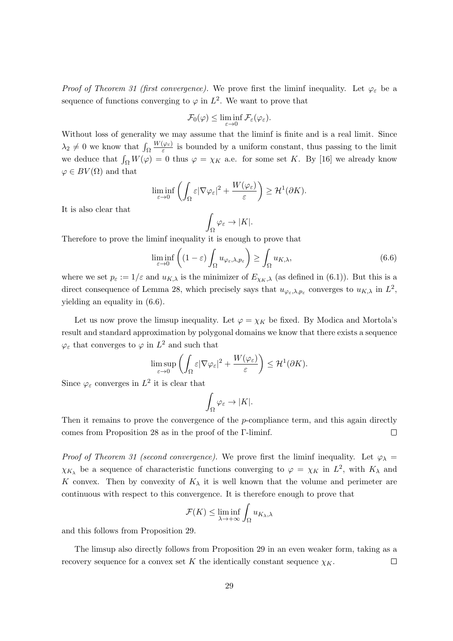Proof of Theorem 31 (first convergence). We prove first the liminf inequality. Let  $\varphi_{\varepsilon}$  be a sequence of functions converging to  $\varphi$  in  $L^2$ . We want to prove that

$$
\mathcal{F}_0(\varphi) \leq \liminf_{\varepsilon \to 0} \mathcal{F}_{\varepsilon}(\varphi_{\varepsilon}).
$$

Without loss of generality we may assume that the liminf is finite and is a real limit. Since  $\lambda_2 \neq 0$  we know that  $\int_{\Omega}$  $W(\varphi_\varepsilon)$  $\frac{\varphi_{\varepsilon}}{\varepsilon}$  is bounded by a uniform constant, thus passing to the limit we deduce that  $\int_{\Omega} W(\varphi) = 0$  thus  $\varphi = \chi_K$  a.e. for some set K. By [16] we already know  $\varphi \in BV(\Omega)$  and that

$$
\liminf_{\varepsilon \to 0} \left( \int_{\Omega} \varepsilon |\nabla \varphi_{\varepsilon}|^2 + \frac{W(\varphi_{\varepsilon})}{\varepsilon} \right) \geq \mathcal{H}^1(\partial K).
$$

It is also clear that

$$
\int_{\Omega} \varphi_{\varepsilon} \to |K|.
$$

Therefore to prove the liminf inequality it is enough to prove that

$$
\liminf_{\varepsilon \to 0} \left( (1 - \varepsilon) \int_{\Omega} u_{\varphi_{\varepsilon}, \lambda, p_{\varepsilon}} \right) \ge \int_{\Omega} u_{K, \lambda}, \tag{6.6}
$$

where we set  $p_{\varepsilon} := 1/\varepsilon$  and  $u_{K,\lambda}$  is the minimizer of  $E_{\chi_K,\lambda}$  (as defined in (6.1)). But this is a direct consequence of Lemma 28, which precisely says that  $u_{\varphi_{\varepsilon},\lambda,p_{\varepsilon}}$  converges to  $u_{K,\lambda}$  in  $L^2$ , yielding an equality in (6.6).

Let us now prove the limsup inequality. Let  $\varphi = \chi_K$  be fixed. By Modica and Mortola's result and standard approximation by polygonal domains we know that there exists a sequence  $\varphi_{\varepsilon}$  that converges to  $\varphi$  in  $L^2$  and such that

$$
\limsup_{\varepsilon \to 0} \left( \int_{\Omega} \varepsilon |\nabla \varphi_{\varepsilon}|^2 + \frac{W(\varphi_{\varepsilon})}{\varepsilon} \right) \leq \mathcal{H}^1(\partial K).
$$

Since  $\varphi_{\varepsilon}$  converges in  $L^2$  it is clear that

$$
\int_{\Omega} \varphi_{\varepsilon} \to |K|.
$$

Then it remains to prove the convergence of the  $p$ -compliance term, and this again directly comes from Proposition 28 as in the proof of the Γ-liminf.  $\Box$ 

Proof of Theorem 31 (second convergence). We prove first the liminf inequality. Let  $\varphi_{\lambda} =$  $\chi_{K_{\lambda}}$  be a sequence of characteristic functions converging to  $\varphi = \chi_K$  in  $L^2$ , with  $K_{\lambda}$  and K convex. Then by convexity of  $K_{\lambda}$  it is well known that the volume and perimeter are continuous with respect to this convergence. It is therefore enough to prove that

$$
\mathcal{F}(K) \le \liminf_{\lambda \to +\infty} \int_{\Omega} u_{K_{\lambda},\lambda}
$$

and this follows from Proposition 29.

The limsup also directly follows from Proposition 29 in an even weaker form, taking as a recovery sequence for a convex set K the identically constant sequence  $\chi_K$ .  $\Box$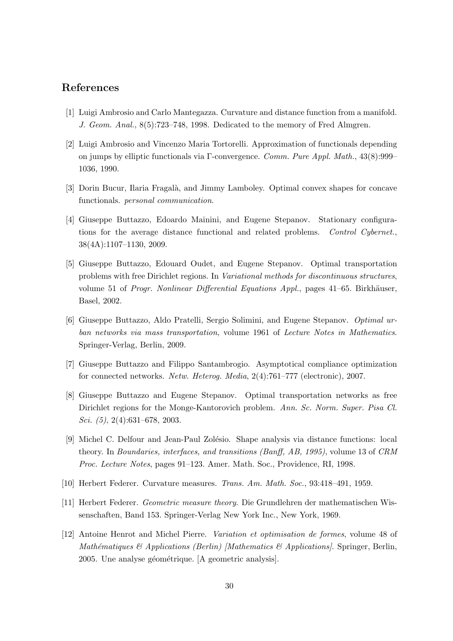## References

- [1] Luigi Ambrosio and Carlo Mantegazza. Curvature and distance function from a manifold. J. Geom. Anal., 8(5):723–748, 1998. Dedicated to the memory of Fred Almgren.
- [2] Luigi Ambrosio and Vincenzo Maria Tortorelli. Approximation of functionals depending on jumps by elliptic functionals via Γ-convergence. Comm. Pure Appl. Math.,  $43(8):999-$ 1036, 1990.
- [3] Dorin Bucur, Ilaria Fragalà, and Jimmy Lamboley. Optimal convex shapes for concave functionals. personal communication.
- [4] Giuseppe Buttazzo, Edoardo Mainini, and Eugene Stepanov. Stationary configurations for the average distance functional and related problems. Control Cybernet., 38(4A):1107–1130, 2009.
- [5] Giuseppe Buttazzo, Edouard Oudet, and Eugene Stepanov. Optimal transportation problems with free Dirichlet regions. In Variational methods for discontinuous structures, volume 51 of *Progr. Nonlinear Differential Equations Appl.*, pages  $41-65$ . Birkhäuser, Basel, 2002.
- [6] Giuseppe Buttazzo, Aldo Pratelli, Sergio Solimini, and Eugene Stepanov. Optimal urban networks via mass transportation, volume 1961 of Lecture Notes in Mathematics. Springer-Verlag, Berlin, 2009.
- [7] Giuseppe Buttazzo and Filippo Santambrogio. Asymptotical compliance optimization for connected networks. Netw. Heterog. Media, 2(4):761–777 (electronic), 2007.
- [8] Giuseppe Buttazzo and Eugene Stepanov. Optimal transportation networks as free Dirichlet regions for the Monge-Kantorovich problem. Ann. Sc. Norm. Super. Pisa Cl. Sci. (5), 2(4):631–678, 2003.
- [9] Michel C. Delfour and Jean-Paul Zolésio. Shape analysis via distance functions: local theory. In Boundaries, interfaces, and transitions (Banff, AB, 1995), volume 13 of CRM Proc. Lecture Notes, pages 91–123. Amer. Math. Soc., Providence, RI, 1998.
- [10] Herbert Federer. Curvature measures. Trans. Am. Math. Soc., 93:418–491, 1959.
- [11] Herbert Federer. Geometric measure theory. Die Grundlehren der mathematischen Wissenschaften, Band 153. Springer-Verlag New York Inc., New York, 1969.
- [12] Antoine Henrot and Michel Pierre. Variation et optimisation de formes, volume 48 of Mathématiques  $\mathcal{B}$  Applications (Berlin) [Mathematics  $\mathcal{B}$  Applications]. Springer, Berlin, 2005. Une analyse géométrique. [A geometric analysis].